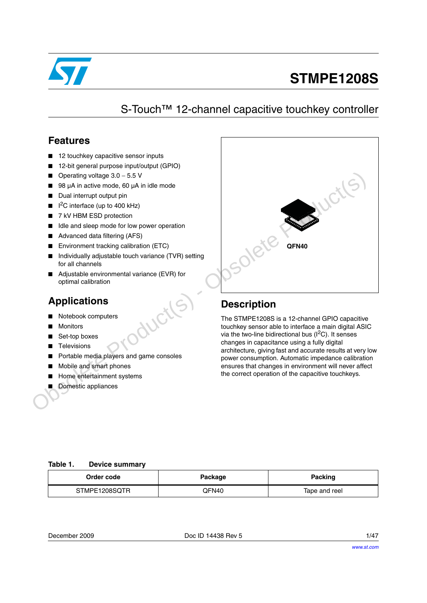

# **STMPE1208S**

# S-Touch™ 12-channel capacitive touchkey controller

### **Features**

- 12 touchkey capacitive sensor inputs
- 12-bit general purpose input/output (GPIO)
- Operating voltage 3.0 − 5.5 V
- 98 µA in active mode, 60 µA in idle mode
- Dual interrupt output pin
- $\blacksquare$  I<sup>2</sup>C interface (up to 400 kHz)
- 7 kV HBM ESD protection
- Idle and sleep mode for low power operation
- Advanced data filtering (AFS)
- Environment tracking calibration (ETC)
- Individually adjustable touch variance (TVR) setting for all channels
- Adiustable environmental variance (EVR) for optimal calibration

## **Applications**

- Notebook computers
- **Monitors**
- Set-top boxes
- **Televisions**
- Portable media players and game consoles
- Mobile and smart phones
- Home entertainment systems
- Domestic appliances



### **Description**

The STMPE1208S is a 12-channel GPIO capacitive touchkey sensor able to interface a main digital ASIC via the two-line bidirectional bus  $(I<sup>2</sup>C)$ . It senses changes in capacitance using a fully digital architecture, giving fast and accurate results at very low power consumption. Automatic impedance calibration ensures that changes in environment will never affect the correct operation of the capacitive touchkeys.

#### <span id="page-0-0"></span>**Table 1. Device summary**

| Order code    | Package | Packing       |  |
|---------------|---------|---------------|--|
| STMPE1208SQTR | QFN40   | Tape and reel |  |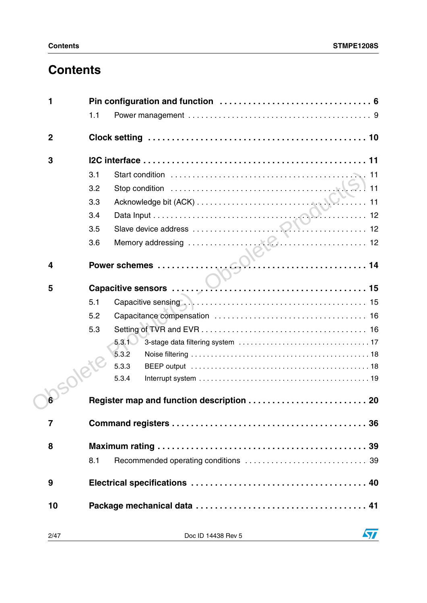# **Contents**

| 1                |                                           |
|------------------|-------------------------------------------|
|                  | 1.1                                       |
| $\boldsymbol{2}$ |                                           |
| 3                |                                           |
|                  | 3.1                                       |
|                  | 3.2                                       |
|                  | 3.3                                       |
|                  | 3.4                                       |
|                  | 3.5                                       |
|                  | 3.6                                       |
|                  |                                           |
| 4                |                                           |
| $5\phantom{1}$   |                                           |
|                  | 5.1                                       |
|                  | 5.2                                       |
|                  | 5.3                                       |
|                  | 5.3.1                                     |
|                  | 5.3.2                                     |
|                  | 5.3.3                                     |
|                  | 5.3.4                                     |
|                  | Register map and function description  20 |
| $\overline{7}$   |                                           |
| 8                |                                           |
|                  | 8.1                                       |
|                  |                                           |
| 9                |                                           |
| 10               |                                           |
| 2/47             | $\sqrt{2}$<br>Doc ID 14438 Rev 5          |
|                  |                                           |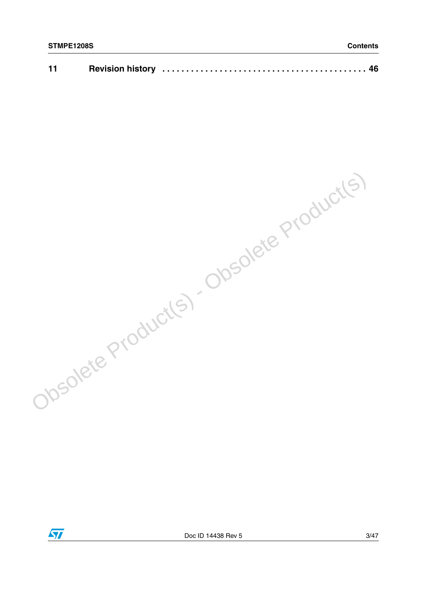| 11 |  |  |  |
|----|--|--|--|
|----|--|--|--|

Obsolete Product(s) - Obsolete Product(s)

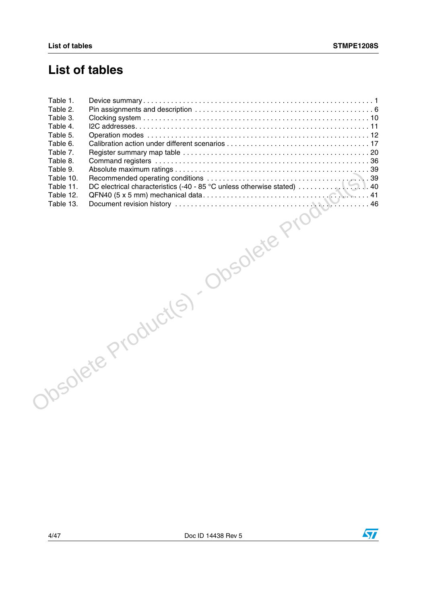# **List of tables**



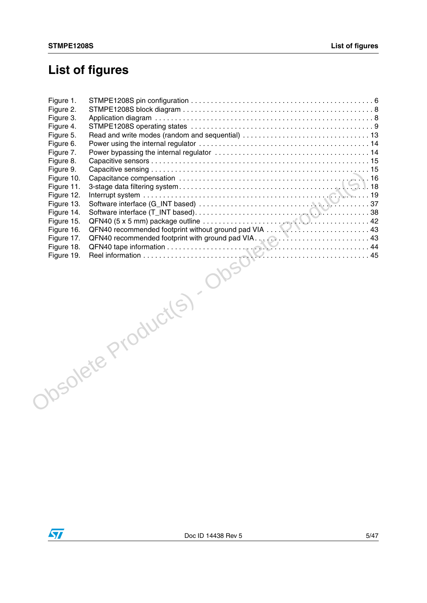# **List of figures**

| Figure 1. |                                                                                                                                                                                                                                                                                 |  |
|-----------|---------------------------------------------------------------------------------------------------------------------------------------------------------------------------------------------------------------------------------------------------------------------------------|--|
| Figure 2. |                                                                                                                                                                                                                                                                                 |  |
| Figure 3. |                                                                                                                                                                                                                                                                                 |  |
| Figure 4. |                                                                                                                                                                                                                                                                                 |  |
| Figure 5. |                                                                                                                                                                                                                                                                                 |  |
| Figure 6. |                                                                                                                                                                                                                                                                                 |  |
|           |                                                                                                                                                                                                                                                                                 |  |
|           |                                                                                                                                                                                                                                                                                 |  |
|           |                                                                                                                                                                                                                                                                                 |  |
|           |                                                                                                                                                                                                                                                                                 |  |
|           |                                                                                                                                                                                                                                                                                 |  |
|           |                                                                                                                                                                                                                                                                                 |  |
|           |                                                                                                                                                                                                                                                                                 |  |
|           |                                                                                                                                                                                                                                                                                 |  |
|           |                                                                                                                                                                                                                                                                                 |  |
|           |                                                                                                                                                                                                                                                                                 |  |
|           |                                                                                                                                                                                                                                                                                 |  |
|           |                                                                                                                                                                                                                                                                                 |  |
|           |                                                                                                                                                                                                                                                                                 |  |
|           |                                                                                                                                                                                                                                                                                 |  |
|           | $\frac{1}{\text{N1 Based}}\text{ based on the same value of the two-dimensional coordinates of the two-dimensional coordinates. The two tangent lines are 0, 0, and 0, and 0, and 0, respectively.} \tag{19.18.29. Ref. (a) \frac{1}{2} and \frac{1}{2}, and 0, respectively.}$ |  |
|           |                                                                                                                                                                                                                                                                                 |  |
|           |                                                                                                                                                                                                                                                                                 |  |
|           |                                                                                                                                                                                                                                                                                 |  |
|           |                                                                                                                                                                                                                                                                                 |  |
|           |                                                                                                                                                                                                                                                                                 |  |
|           |                                                                                                                                                                                                                                                                                 |  |
|           |                                                                                                                                                                                                                                                                                 |  |
|           |                                                                                                                                                                                                                                                                                 |  |

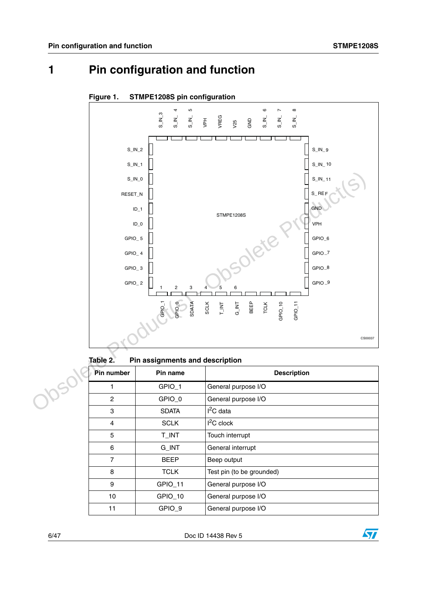# <span id="page-5-0"></span>**1 Pin configuration and function**



#### <span id="page-5-2"></span>**Figure 1. STMPE1208S pin configuration**

<span id="page-5-1"></span>Table 2. **Pin assignments and description** 

| Pin number<br>Pin name |              | <b>Description</b>        |  |  |  |
|------------------------|--------------|---------------------------|--|--|--|
| GPIO_1                 |              | General purpose I/O       |  |  |  |
| 2                      | GPIO 0       | General purpose I/O       |  |  |  |
| 3                      | <b>SDATA</b> | $I^2C$ data               |  |  |  |
| $\overline{4}$         | <b>SCLK</b>  | $I2C$ clock               |  |  |  |
| 5                      | T_INT        | Touch interrupt           |  |  |  |
| 6                      | G_INT        | General interrupt         |  |  |  |
| $\overline{7}$         | <b>BEEP</b>  | Beep output               |  |  |  |
| 8                      | <b>TCLK</b>  | Test pin (to be grounded) |  |  |  |
| 9                      | GPIO_11      | General purpose I/O       |  |  |  |
| 10                     | GPIO_10      | General purpose I/O       |  |  |  |
| 11                     | GPIO_9       | General purpose I/O       |  |  |  |

6/47 Doc ID 14438 Rev 5

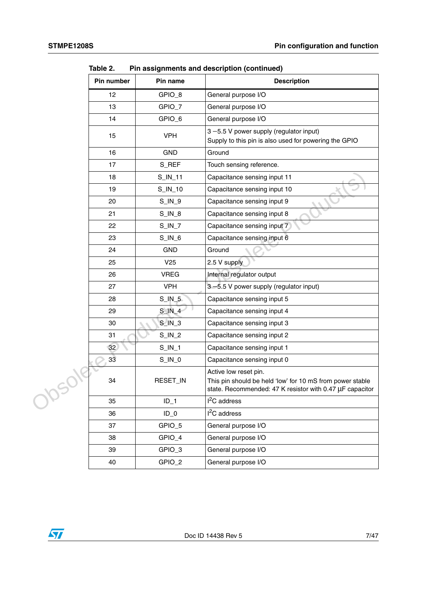| Pin number      | Pin name               | <b>Description</b>                                                                                                                             |
|-----------------|------------------------|------------------------------------------------------------------------------------------------------------------------------------------------|
| 12              | GPIO_8                 | General purpose I/O                                                                                                                            |
| 13              | GPIO_7                 | General purpose I/O                                                                                                                            |
| 14              | GPIO_6                 | General purpose I/O                                                                                                                            |
| 15              | <b>VPH</b>             | 3-5.5 V power supply (regulator input)<br>Supply to this pin is also used for powering the GPIO                                                |
| 16              | <b>GND</b>             | Ground                                                                                                                                         |
| 17              | S_REF                  | Touch sensing reference.                                                                                                                       |
| 18              | $S$ <sub>_IN_11</sub>  | Capacitance sensing input 11                                                                                                                   |
| 19              | $S$ <sub>IN</sub> $10$ | Capacitance sensing input 10                                                                                                                   |
| 20              | $S$ <sub>IN</sub> $9$  | Capacitance sensing input 9                                                                                                                    |
| 21              | $S$ <sub>IN_8</sub>    | Capacitance sensing input 8                                                                                                                    |
| 22              | $S$ <sub>_IN_7</sub>   | Capacitance sensing input 7                                                                                                                    |
| 23              | $S$ <sub>IN</sub> $6$  | Capacitance sensing input 6                                                                                                                    |
| 24              | <b>GND</b>             | Ground                                                                                                                                         |
| 25              | V <sub>25</sub>        | 2.5 V supply                                                                                                                                   |
| 26              | <b>VREG</b>            | Internal regulator output                                                                                                                      |
| 27              | <b>VPH</b>             | 3-5.5 V power supply (regulator input)                                                                                                         |
| 28              | $S$ <sub>IN</sub> $5$  | Capacitance sensing input 5                                                                                                                    |
| 29              | $S$ IN $4$             | Capacitance sensing input 4                                                                                                                    |
| 30              | $S/N_3$                | Capacitance sensing input 3                                                                                                                    |
| 31              | $S$ <sub>_IN_2</sub>   | Capacitance sensing input 2                                                                                                                    |
| 32 <sup>°</sup> | $S$ <sub>IN_1</sub>    | Capacitance sensing input 1                                                                                                                    |
| 33              | $S$ <sub>IN</sub> $_0$ | Capacitance sensing input 0                                                                                                                    |
| 34              | RESET_IN               | Active low reset pin.<br>This pin should be held 'low' for 10 mS from power stable<br>state. Recommended: 47 K resistor with 0.47 µF capacitor |
| 35              | $ID_1$                 | $I2C$ address                                                                                                                                  |
| 36              | $ID_0$                 | I <sup>2</sup> C address                                                                                                                       |
| 37              | GPIO_5                 | General purpose I/O                                                                                                                            |
| 38              | GPIO_4                 | General purpose I/O                                                                                                                            |
| 39              | GPIO_3                 | General purpose I/O                                                                                                                            |
| 40              | GPIO_2                 | General purpose I/O                                                                                                                            |

**Table 2. Pin assignments and description (continued)**

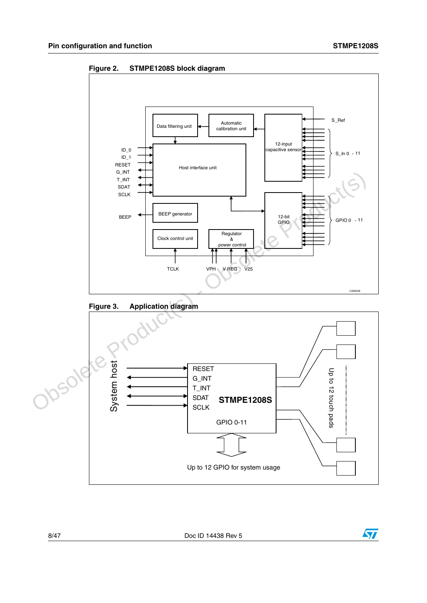<span id="page-7-0"></span>



<span id="page-7-1"></span>



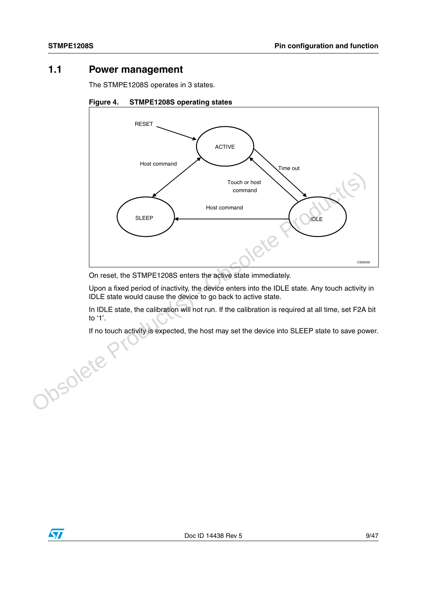### <span id="page-8-0"></span>**1.1 Power management**

The STMPE1208S operates in 3 states.

<span id="page-8-1"></span>



On reset, the STMPE1208S enters the active state immediately.

Upon a fixed period of inactivity, the device enters into the IDLE state. Any touch activity in IDLE state would cause the device to go back to active state.

In IDLE state, the calibration will not run. If the calibration is required at all time, set F2A bit to '1'.

If no touch activity is expected, the host may set the device into SLEEP state to save power.

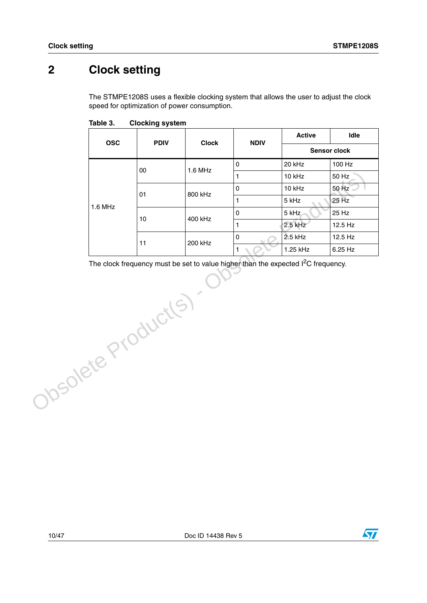# <span id="page-9-0"></span>**2 Clock setting**

The STMPE1208S uses a flexible clocking system that allows the user to adjust the clock speed for optimization of power consumption.

| <b>OSC</b> | <b>PDIV</b> | <b>Clock</b> | <b>NDIV</b> | <b>Active</b>       | <b>Idle</b> |
|------------|-------------|--------------|-------------|---------------------|-------------|
|            |             |              |             | <b>Sensor clock</b> |             |
| $1.6$ MHz  | 00          | $1.6$ MHz    | 0           | 20 kHz              | 100 Hz      |
|            |             |              |             | 10 kHz              | 50 Hz       |
|            | 01          | 800 kHz      | 0           | 10 kHz              | 50 Hz       |
|            |             |              |             | 5 kHz               | 25 Hz       |
|            | 10          | 400 kHz      | 0           | 5 kHz               | 25 Hz       |
|            |             |              |             | $2.5$ kHz           | 12.5 Hz     |
|            |             | 200 kHz      | 0           | 2.5 kHz             | $12.5$ Hz   |
|            | 11          |              | 1           | 1.25 kHz            | 6.25 Hz     |

<span id="page-9-1"></span>Table 3. **Clocking system** 

The clock frequency must be set to value higher than the expected  $I<sup>2</sup>C$  frequency. alue Product(s)

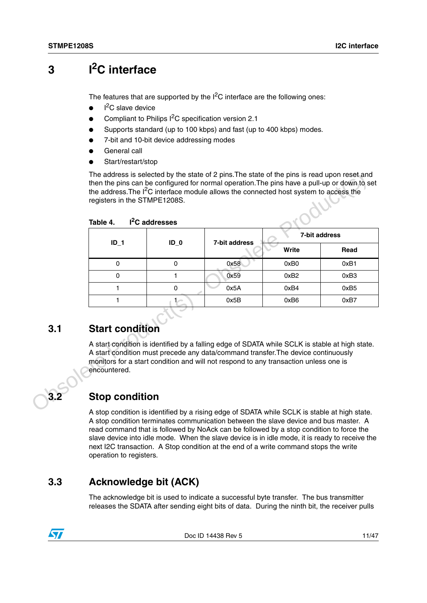# <span id="page-10-0"></span>**3 I2C interface**

The features that are supported by the  $I^2C$  interface are the following ones:

- $\bullet$  $I<sup>2</sup>C$  slave device
- Compliant to Philips  $I^2C$  specification version 2.1
- Supports standard (up to 100 kbps) and fast (up to 400 kbps) modes.
- 7-bit and 10-bit device addressing modes
- General call
- Start/restart/stop

<span id="page-10-4"></span>Table 4. I<sup>2</sup>C addresses

|     |                                        |             |                                                                                                                                                                                                                                                                             |                  | 7-bit address    |
|-----|----------------------------------------|-------------|-----------------------------------------------------------------------------------------------------------------------------------------------------------------------------------------------------------------------------------------------------------------------------|------------------|------------------|
|     | $ID_1$                                 | $ID_0$      | 7-bit address                                                                                                                                                                                                                                                               | Write            | Read             |
|     | $\mathbf 0$                            | $\mathbf 0$ | 0x58                                                                                                                                                                                                                                                                        | 0xB0             | 0xB1             |
|     | 0                                      | 1           | 0x59                                                                                                                                                                                                                                                                        | 0xB <sub>2</sub> | 0xB3             |
|     | 1                                      | 0           | 0x5A                                                                                                                                                                                                                                                                        | 0xB4             | 0xB <sub>5</sub> |
|     | 1                                      | 1.-         | 0x5B                                                                                                                                                                                                                                                                        | 0xB6             | 0xB7             |
| 3.1 | <b>Start condition</b><br>encountered. |             | A start condition is identified by a falling edge of SDATA while SCLK is stable at high state.<br>A start condition must precede any data/command transfer. The device continuously<br>monitors for a start condition and will not respond to any transaction unless one is |                  |                  |

### <span id="page-10-1"></span>**3.1 Start condition**

### <span id="page-10-2"></span>**3.2 Stop condition**

A stop condition is identified by a rising edge of SDATA while SCLK is stable at high state. A stop condition terminates communication between the slave device and bus master. A read command that is followed by NoAck can be followed by a stop condition to force the slave device into idle mode. When the slave device is in idle mode, it is ready to receive the next I2C transaction. A Stop condition at the end of a write command stops the write operation to registers.

### <span id="page-10-3"></span>**3.3 Acknowledge bit (ACK)**

The acknowledge bit is used to indicate a successful byte transfer. The bus transmitter releases the SDATA after sending eight bits of data. During the ninth bit, the receiver pulls



Doc ID 14438 Rev 5 11/47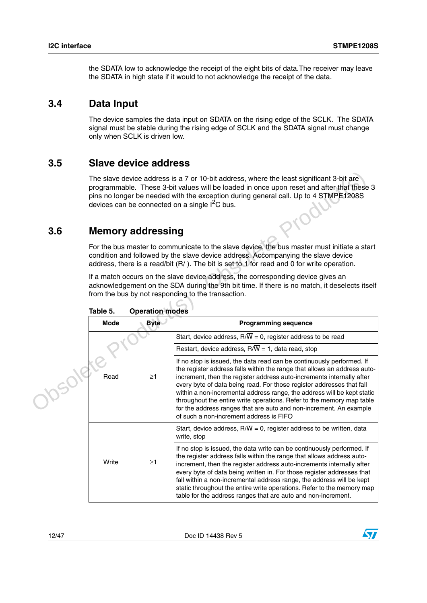the SDATA low to acknowledge the receipt of the eight bits of data.The receiver may leave the SDATA in high state if it would to not acknowledge the receipt of the data.

### <span id="page-11-0"></span>**3.4 Data Input**

The device samples the data input on SDATA on the rising edge of the SCLK. The SDATA signal must be stable during the rising edge of SCLK and the SDATA signal must change only when SCLK is driven low.

### <span id="page-11-1"></span>**3.5 Slave device address**

### <span id="page-11-2"></span>**3.6 Memory addressing**

| 3.6    | The slave device address is a 7 or 10-bit address, where the least significant 3-bit are<br>programmable. These 3-bit values will be loaded in once upon reset and after that these 3<br>pins no longer be needed with the exception during general call. Up to 4 STMPE1208S<br>devices can be connected on a single I <sup>2</sup> C bus.<br><b>Memory addressing</b> |                                                                                                                                                                                                                                                                                                                                                                                                                                                                                                                                                                          |                                                                                                                                                                                                                                                                                                                                                                                                                                                                                                                        |  |  |  |
|--------|------------------------------------------------------------------------------------------------------------------------------------------------------------------------------------------------------------------------------------------------------------------------------------------------------------------------------------------------------------------------|--------------------------------------------------------------------------------------------------------------------------------------------------------------------------------------------------------------------------------------------------------------------------------------------------------------------------------------------------------------------------------------------------------------------------------------------------------------------------------------------------------------------------------------------------------------------------|------------------------------------------------------------------------------------------------------------------------------------------------------------------------------------------------------------------------------------------------------------------------------------------------------------------------------------------------------------------------------------------------------------------------------------------------------------------------------------------------------------------------|--|--|--|
|        |                                                                                                                                                                                                                                                                                                                                                                        |                                                                                                                                                                                                                                                                                                                                                                                                                                                                                                                                                                          | For the bus master to communicate to the slave device, the bus master must initiate a start<br>condition and followed by the slave device address. Accompanying the slave device                                                                                                                                                                                                                                                                                                                                       |  |  |  |
|        |                                                                                                                                                                                                                                                                                                                                                                        |                                                                                                                                                                                                                                                                                                                                                                                                                                                                                                                                                                          | address, there is a read/bit (R/). The bit is set to 1 for read and 0 for write operation.                                                                                                                                                                                                                                                                                                                                                                                                                             |  |  |  |
|        | If a match occurs on the slave device address, the corresponding device gives an<br>acknowledgement on the SDA during the 9th bit time. If there is no match, it deselects itself<br>from the bus by not responding to the transaction.<br>Table 5.<br><b>Operation modes</b>                                                                                          |                                                                                                                                                                                                                                                                                                                                                                                                                                                                                                                                                                          |                                                                                                                                                                                                                                                                                                                                                                                                                                                                                                                        |  |  |  |
|        | <b>Mode</b>                                                                                                                                                                                                                                                                                                                                                            | <b>Byte</b>                                                                                                                                                                                                                                                                                                                                                                                                                                                                                                                                                              | <b>Programming sequence</b>                                                                                                                                                                                                                                                                                                                                                                                                                                                                                            |  |  |  |
|        |                                                                                                                                                                                                                                                                                                                                                                        |                                                                                                                                                                                                                                                                                                                                                                                                                                                                                                                                                                          | Start, device address, $R/\overline{W} = 0$ , register address to be read                                                                                                                                                                                                                                                                                                                                                                                                                                              |  |  |  |
|        | Read<br>$\geq$ 1                                                                                                                                                                                                                                                                                                                                                       |                                                                                                                                                                                                                                                                                                                                                                                                                                                                                                                                                                          | Restart, device address, $R/\overline{W}$ = 1, data read, stop                                                                                                                                                                                                                                                                                                                                                                                                                                                         |  |  |  |
| JOSOIP |                                                                                                                                                                                                                                                                                                                                                                        | If no stop is issued, the data read can be continuously performed. If<br>the register address falls within the range that allows an address auto-<br>increment, then the register address auto-increments internally after<br>every byte of data being read. For those register addresses that fall<br>within a non-incremental address range, the address will be kept static<br>throughout the entire write operations. Refer to the memory map table<br>for the address ranges that are auto and non-increment. An example<br>of such a non-increment address is FIFO |                                                                                                                                                                                                                                                                                                                                                                                                                                                                                                                        |  |  |  |
|        |                                                                                                                                                                                                                                                                                                                                                                        |                                                                                                                                                                                                                                                                                                                                                                                                                                                                                                                                                                          | Start, device address, $R/\overline{W}$ = 0, register address to be written, data<br>write, stop                                                                                                                                                                                                                                                                                                                                                                                                                       |  |  |  |
|        | Write                                                                                                                                                                                                                                                                                                                                                                  | $\geq$ 1                                                                                                                                                                                                                                                                                                                                                                                                                                                                                                                                                                 | If no stop is issued, the data write can be continuously performed. If<br>the register address falls within the range that allows address auto-<br>increment, then the register address auto-increments internally after<br>every byte of data being written in. For those register addresses that<br>fall within a non-incremental address range, the address will be kept<br>static throughout the entire write operations. Refer to the memory map<br>table for the address ranges that are auto and non-increment. |  |  |  |

<span id="page-11-3"></span>**Table 5. Operation modes**

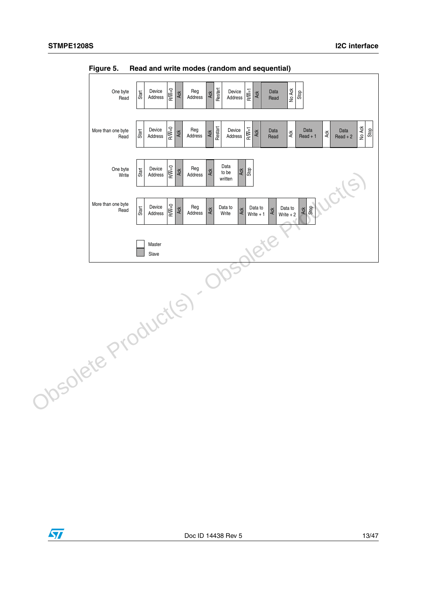

<span id="page-12-0"></span>**Figure 5. Read and write modes (random and sequential)**

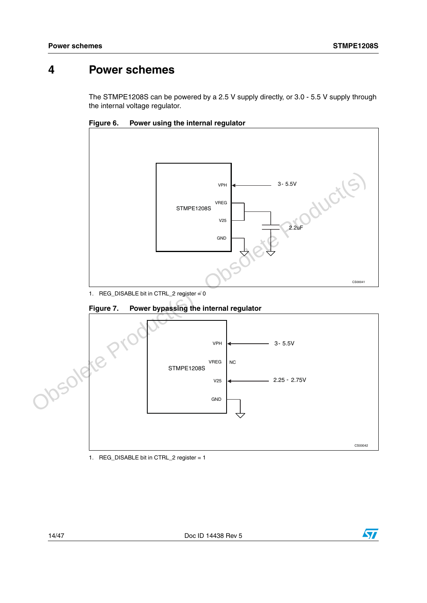### <span id="page-13-0"></span>**4 Power schemes**

The STMPE1208S can be powered by a 2.5 V supply directly, or 3.0 - 5.5 V supply through the internal voltage regulator.

<span id="page-13-1"></span>**Figure 6. Power using the internal regulator**



1. REG\_DISABLE bit in CTRL\_2 register = 0

<span id="page-13-2"></span>



1. REG\_DISABLE bit in CTRL\_2 register = 1

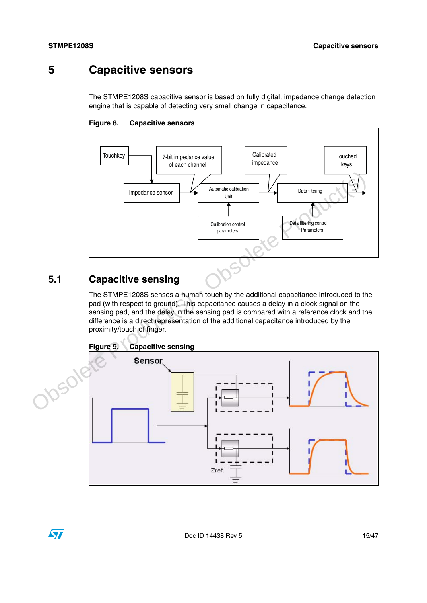### <span id="page-14-0"></span>**5 Capacitive sensors**

The STMPE1208S capacitive sensor is based on fully digital, impedance change detection engine that is capable of detecting very small change in capacitance.

<span id="page-14-2"></span>



### <span id="page-14-1"></span>**5.1 Capacitive sensing**

 $\sqrt{}$ 

<span id="page-14-3"></span>The STMPE1208S senses a human touch by the additional capacitance introduced to the pad (with respect to ground). This capacitance causes a delay in a clock signal on the sensing pad, and the delay in the sensing pad is compared with a reference clock and the difference is a direct representation of the additional capacitance introduced by the proximity/touch of finger.

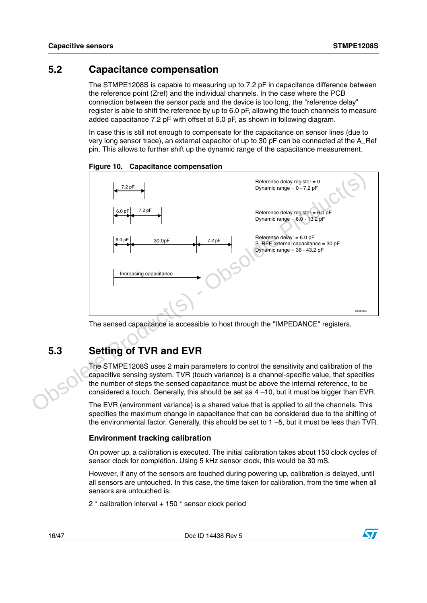### <span id="page-15-0"></span>**5.2 Capacitance compensation**

The STMPE1208S is capable to measuring up to 7.2 pF in capacitance difference between the reference point (Zref) and the individual channels. In the case where the PCB connection between the sensor pads and the device is too long, the "reference delay" register is able to shift the reference by up to 6.0 pF, allowing the touch channels to measure added capacitance 7.2 pF with offset of 6.0 pF, as shown in following diagram.

In case this is still not enough to compensate for the capacitance on sensor lines (due to very long sensor trace), an external capacitor of up to 30 pF can be connected at the A\_Ref pin. This allows to further shift up the dynamic range of the capacitance measurement.



<span id="page-15-2"></span>**Figure 10. Capacitance compensation**

The sensed capacitance is accessible to host through the "IMPEDANCE" registers.

### <span id="page-15-1"></span>**5.3 Setting of TVR and EVR**

The STMPE1208S uses 2 main parameters to control the sensitivity and calibration of the capacitive sensing system. TVR (touch variance) is a channel-specific value, that specifies the number of steps the sensed capacitance must be above the internal reference, to be considered a touch. Generally, this should be set as  $4-10$ , but it must be bigger than EVR.

The EVR (environment variance) is a shared value that is applied to all the channels. This specifies the maximum change in capacitance that can be considered due to the shifting of the environmental factor. Generally, this should be set to 1 −5, but it must be less than TVR.

#### **Environment tracking calibration**

On power up, a calibration is executed. The initial calibration takes about 150 clock cycles of sensor clock for completion. Using 5 kHz sensor clock, this would be 30 mS.

However, if any of the sensors are touched during powering up, calibration is delayed, until all sensors are untouched. In this case, the time taken for calibration, from the time when all sensors are untouched is:

2 \* calibration interval + 150 \* sensor clock period

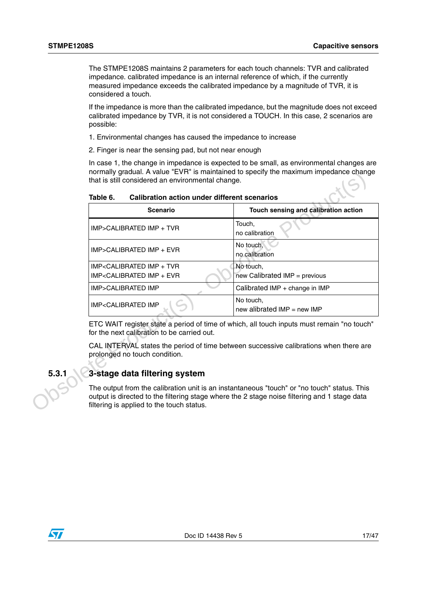The STMPE1208S maintains 2 parameters for each touch channels: TVR and calibrated impedance. calibrated impedance is an internal reference of which, if the currently measured impedance exceeds the calibrated impedance by a magnitude of TVR, it is considered a touch.

If the impedance is more than the calibrated impedance, but the magnitude does not exceed calibrated impedance by TVR, it is not considered a TOUCH. In this case, 2 scenarios are possible:

- 1. Environmental changes has caused the impedance to increase
- 2. Finger is near the sensing pad, but not near enough

In case 1, the change in impedance is expected to be small, as environmental changes are normally gradual. A value "EVR" is maintained to specify the maximum impedance change that is still considered an environmental change.

|       | <b>Scenario</b>                                                                                                                                                                                                                          | Touch sensing and calibration action                                                  |  |  |  |
|-------|------------------------------------------------------------------------------------------------------------------------------------------------------------------------------------------------------------------------------------------|---------------------------------------------------------------------------------------|--|--|--|
|       | IMP>CALIBRATED IMP + TVR                                                                                                                                                                                                                 | Touch,<br>no calibration                                                              |  |  |  |
|       | IMP>CALIBRATED IMP + EVR                                                                                                                                                                                                                 | No touch,<br>no calibration                                                           |  |  |  |
|       | IMP <calibrated +="" imp="" tvr<br="">IMP<calibrated +="" evr<="" imp="" td=""><td>No touch,<br/><math>new</math> Calibrated IMP = previous</td></calibrated></calibrated>                                                               | No touch,<br>$new$ Calibrated IMP = previous                                          |  |  |  |
|       | IMP>CALIBRATED IMP                                                                                                                                                                                                                       | Calibrated IMP + change in IMP                                                        |  |  |  |
|       | IMP <calibrated imp<="" td=""><td>No touch,<br/>new alibrated <math>IMP = new IMP</math></td></calibrated>                                                                                                                               | No touch,<br>new alibrated $IMP = new IMP$                                            |  |  |  |
|       | ETC WAIT register state a period of time of which, all touch inputs must remain "no touch"<br>for the next calibration to be carried out.                                                                                                |                                                                                       |  |  |  |
|       | prolonged no touch condition.                                                                                                                                                                                                            | CAL INTERVAL states the period of time between successive calibrations when there are |  |  |  |
| 5.3.1 | 3-stage data filtering system                                                                                                                                                                                                            |                                                                                       |  |  |  |
|       | The output from the calibration unit is an instantaneous "touch" or "no touch" status. This<br>output is directed to the filtering stage where the 2 stage noise filtering and 1 stage data<br>filtering is applied to the touch status. |                                                                                       |  |  |  |

<span id="page-16-1"></span>Table 6. **Calibration action under different scenarios** 

### <span id="page-16-0"></span>**5.3.1 3-stage data filtering system**

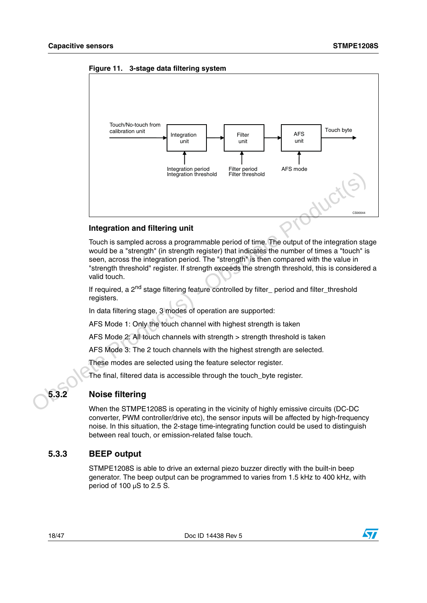

<span id="page-17-2"></span>**Figure 11. 3-stage data filtering system**

#### **Integration and filtering unit**

Touch is sampled across a programmable period of time. The output of the integration stage would be a "strength" (in strength register) that indicates the number of times a "touch" is seen, across the integration period. The "strength" is then compared with the value in "strength threshold" register. If strength exceeds the strength threshold, this is considered a valid touch.

If required, a  $2^{nd}$  stage filtering feature controlled by filter period and filter threshold registers.

In data filtering stage, 3 modes of operation are supported:

AFS Mode 1: Only the touch channel with highest strength is taken

AFS Mode 2: All touch channels with strength > strength threshold is taken

AFS Mode 3: The 2 touch channels with the highest strength are selected.

These modes are selected using the feature selector register.

The final, filtered data is accessible through the touch byte register.

### <span id="page-17-0"></span>**5.3.2 Noise filtering**

When the STMPE1208S is operating in the vicinity of highly emissive circuits (DC-DC converter, PWM controller/drive etc), the sensor inputs will be affected by high-frequency noise. In this situation, the 2-stage time-integrating function could be used to distinguish between real touch, or emission-related false touch.

#### <span id="page-17-1"></span>**5.3.3 BEEP output**

STMPE1208S is able to drive an external piezo buzzer directly with the built-in beep generator. The beep output can be programmed to varies from 1.5 kHz to 400 kHz, with period of 100 µS to 2.5 S.

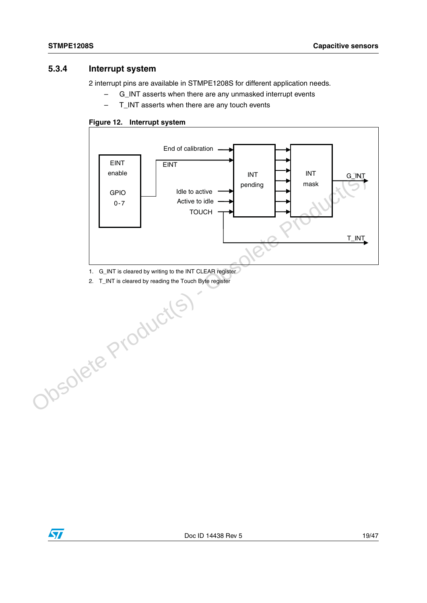### <span id="page-18-0"></span>**5.3.4 Interrupt system**

2 interrupt pins are available in STMPE1208S for different application needs.

- G\_INT asserts when there are any unmasked interrupt events
- T\_INT asserts when there are any touch events

#### <span id="page-18-1"></span>**Figure 12. Interrupt system**



1. G\_INT is cleared by writing to the INT CLEAR register

2. T\_INT is cleared by reading the Touch Byte register

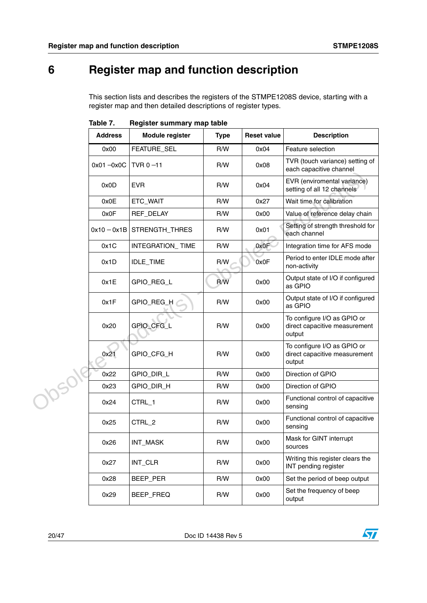# <span id="page-19-0"></span>**6 Register map and function description**

This section lists and describes the registers of the STMPE1208S device, starting with a register map and then detailed descriptions of register types.

|        | <b>Address</b> | <b>Module register</b> | <b>Type</b> | <b>Reset value</b> | <b>Description</b>                                                     |
|--------|----------------|------------------------|-------------|--------------------|------------------------------------------------------------------------|
|        | 0x00           | FEATURE_SEL            | R/W         | 0x04               | Feature selection                                                      |
|        | $0x01 - 0x0C$  | TVR $0 - 11$           | R/W         | 0x08               | TVR (touch variance) setting of<br>each capacitive channel             |
|        | 0x0D           | <b>EVR</b>             | R/W         | 0x04               | EVR (enviromental variance)<br>setting of all 12 channels              |
|        | 0x0E           | ETC_WAIT               | R/W         | 0x27               | Wait time for calibration                                              |
|        | 0x0F           | REF_DELAY              | R/W         | 0x00               | Value of reference delay chain                                         |
|        | $0x10 - 0x1B$  | STRENGTH_THRES         | R/W         | 0x01               | Setting of strength threshold for<br>each channel                      |
|        | 0x1C           | INTEGRATION_TIME       | R/W         | 0x0F               | Integration time for AFS mode                                          |
|        | 0x1D           | <b>IDLE_TIME</b>       | R/W         | 0x0F               | Period to enter IDLE mode after<br>non-activity                        |
|        | 0x1E           | GPIO_REG_L             | R/W         | 0x00               | Output state of I/O if configured<br>as GPIO                           |
|        | 0x1F           | GPIO_REG_H             | R/W         | 0x00               | Output state of I/O if configured<br>as GPIO                           |
|        | 0x20           | GPIO_CFG_L             | R/W         | 0x00               | To configure I/O as GPIO or<br>direct capacitive measurement<br>output |
|        | 0x21           | GPIO_CFG_H             | R/W         | 0x00               | To configure I/O as GPIO or<br>direct capacitive measurement<br>output |
|        | 0x22           | GPIO_DIR_L             | R/W         | 0x00               | Direction of GPIO                                                      |
|        | 0x23           | GPIO_DIR_H             | R/W         | 0x00               | Direction of GPIO                                                      |
| Josol' | 0x24           | CTRL_1                 | R/W         | 0x00               | Functional control of capacitive<br>sensing                            |
|        | 0x25           | CTRL <sub>2</sub>      | R/W         | 0x00               | Functional control of capacitive<br>sensing                            |
|        | 0x26           | INT_MASK               | R/W         | 0x00               | Mask for GINT interrupt<br>sources                                     |
|        | 0x27           | INT_CLR                | R/W         | 0x00               | Writing this register clears the<br>INT pending register               |
|        | 0x28           | BEEP_PER               | R/W         | 0x00               | Set the period of beep output                                          |
|        | 0x29           | BEEP_FREQ              | R/W         | 0x00               | Set the frequency of beep<br>output                                    |

<span id="page-19-1"></span>Table 7. **Register summary map table** 

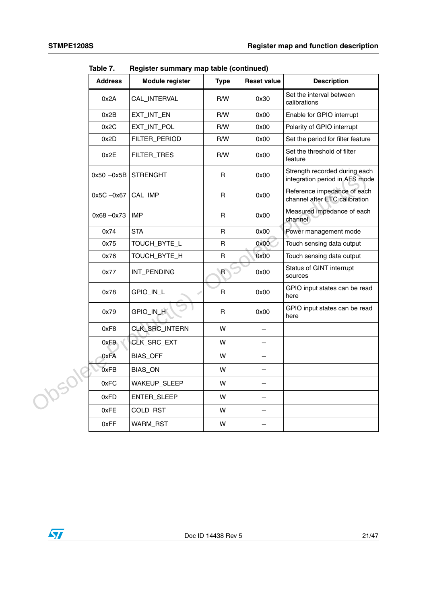|        | <b>Address</b> | Module register | <b>Type</b>  | <b>Reset value</b>       | <b>Description</b>                                              |
|--------|----------------|-----------------|--------------|--------------------------|-----------------------------------------------------------------|
|        | 0x2A           | CAL_INTERVAL    | R/W          | 0x30                     | Set the interval between<br>calibrations                        |
|        | 0x2B           | EXT_INT_EN      | R/W          | 0x00                     | Enable for GPIO interrupt                                       |
|        | 0x2C           | EXT_INT_POL     | R/W          | 0x00                     | Polarity of GPIO interrupt                                      |
|        | 0x2D           | FILTER_PERIOD   | R/W          | 0x00                     | Set the period for filter feature                               |
|        | 0x2E           | FILTER_TRES     | R/W          | 0x00                     | Set the threshold of filter<br>feature                          |
|        | $0x50 - 0x5B$  | <b>STRENGHT</b> | $\mathsf R$  | 0x00                     | Strength recorded during each<br>integration period in AFS mode |
|        | 0x5C -0x67     | CAL_IMP         | R.           | 0x00                     | Reference impedance of each<br>channel after ETC calibration    |
|        | $0x68 - 0x73$  | <b>IMP</b>      | R.           | 0x00                     | Measured impedance of each<br>channel                           |
|        | 0x74           | <b>STA</b>      | $\mathsf R$  | 0x00                     | Power management mode                                           |
|        | 0x75           | TOUCH_BYTE_L    | $\mathsf{R}$ | 0x00                     | Touch sensing data output                                       |
|        | 0x76           | TOUCH_BYTE_H    | $\mathsf{R}$ | 0x00                     | Touch sensing data output                                       |
|        | 0x77           | INT_PENDING     | $\mathsf{R}$ | 0x00                     | Status of GINT interrupt<br>sources                             |
|        | 0x78           | GPIO_IN_L<br>s  | R            | 0x00                     | GPIO input states can be read<br>here                           |
|        | 0x79           | GPIO_IN_H       | $\mathsf{R}$ | 0x00                     | GPIO input states can be read<br>here                           |
|        | 0xF8           | CLK_SRC_INTERN  | W            | $\qquad \qquad -$        |                                                                 |
|        | 0xF9           | CLK_SRC_EXT     | W            |                          |                                                                 |
|        | 0xFA           | <b>BIAS_OFF</b> | W            | $\overline{\phantom{0}}$ |                                                                 |
|        | 0xFB           | BIAS_ON         | W            | $\overline{\phantom{m}}$ |                                                                 |
| J05019 | 0xFC           | WAKEUP_SLEEP    | W            | $\overline{\phantom{0}}$ |                                                                 |
|        | 0xFD           | ENTER_SLEEP     | W            | $\overline{\phantom{m}}$ |                                                                 |
|        | 0xFE           | COLD_RST        | W            |                          |                                                                 |
|        | 0xFF           | WARM_RST        | W            |                          |                                                                 |

**Table 7. Register summary map table (continued)**

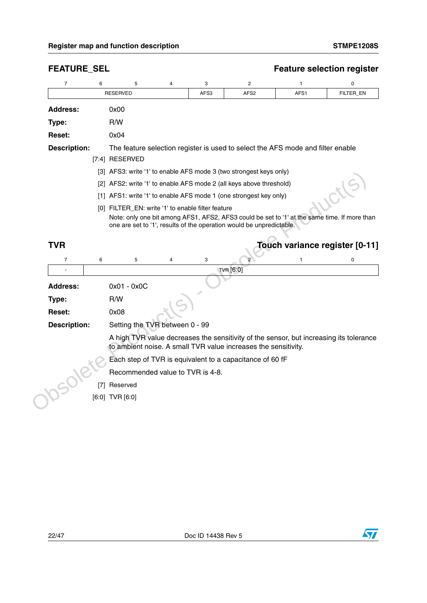| $\overline{7}$      | 6 | 5                                                 | 4              | 3    | 2                                                                                                                                                                    | 1                              | 0           |
|---------------------|---|---------------------------------------------------|----------------|------|----------------------------------------------------------------------------------------------------------------------------------------------------------------------|--------------------------------|-------------|
|                     |   | <b>RESERVED</b>                                   |                | AFS3 | AFS <sub>2</sub>                                                                                                                                                     | AFS1                           | FILTER_EN   |
| <b>Address:</b>     |   | 0x00                                              |                |      |                                                                                                                                                                      |                                |             |
| Type:               |   | R/W                                               |                |      |                                                                                                                                                                      |                                |             |
| Reset:              |   | 0x04                                              |                |      |                                                                                                                                                                      |                                |             |
| <b>Description:</b> |   | [7:4] RESERVED                                    |                |      | The feature selection register is used to select the AFS mode and filter enable                                                                                      |                                |             |
|                     |   |                                                   |                |      | [3] AFS3: write '1' to enable AFS mode 3 (two strongest keys only)                                                                                                   |                                |             |
|                     |   |                                                   |                |      | [2] AFS2: write '1' to enable AFS mode 2 (all keys above threshold)                                                                                                  |                                |             |
|                     |   |                                                   |                |      | [1] AFS1: write '1' to enable AFS mode 1 (one strongest key only)                                                                                                    |                                |             |
|                     |   | [0] FILTER_EN: write '1' to enable filter feature |                |      |                                                                                                                                                                      |                                |             |
|                     |   |                                                   |                |      | Note: only one bit among AFS1, AFS2, AFS3 could be set to '1' at the same time. If more than<br>one are set to '1', results of the operation would be unpredictable. |                                |             |
| <b>TVR</b>          |   |                                                   |                |      |                                                                                                                                                                      | Touch variance register [0-11] |             |
| $\overline{7}$      | 6 | 5                                                 | $\overline{4}$ | 3    | 2                                                                                                                                                                    | 1                              | $\mathbf 0$ |
|                     |   |                                                   |                |      | TVR [6:0]                                                                                                                                                            |                                |             |
| <b>Address:</b>     |   | $0x01 - 0x0C$                                     |                |      |                                                                                                                                                                      |                                |             |
| Type:               |   | R/W                                               |                |      |                                                                                                                                                                      |                                |             |
| <b>Reset:</b>       |   | 0x08                                              |                |      |                                                                                                                                                                      |                                |             |
| <b>Description:</b> |   | Setting the TVR between 0 - 99                    |                |      |                                                                                                                                                                      |                                |             |
|                     |   |                                                   |                |      | A high TVR value decreases the sensitivity of the sensor, but increasing its tolerance<br>to ambient noise. A small TVR value increases the sensitivity.             |                                |             |
|                     |   |                                                   |                |      | Each step of TVR is equivalent to a capacitance of 60 fF                                                                                                             |                                |             |
|                     |   |                                                   |                |      |                                                                                                                                                                      |                                |             |
|                     |   | Recommended value to TVR is 4-8.                  |                |      |                                                                                                                                                                      |                                |             |
|                     |   | [7] Reserved                                      |                |      |                                                                                                                                                                      |                                |             |

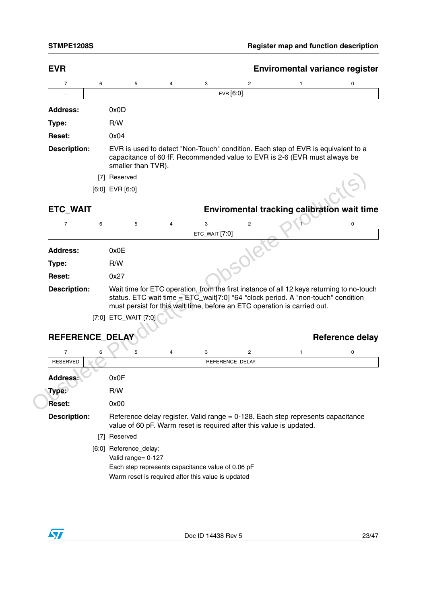|                                   |                     |                      |                |                |                                                                     | <b>Enviromental variance register</b>                                                                                                                                                                                                                       |                        |
|-----------------------------------|---------------------|----------------------|----------------|----------------|---------------------------------------------------------------------|-------------------------------------------------------------------------------------------------------------------------------------------------------------------------------------------------------------------------------------------------------------|------------------------|
| 7                                 | 6                   | 5                    | 4              | 3              | 2                                                                   | 1                                                                                                                                                                                                                                                           | 0                      |
|                                   |                     |                      |                |                | EVR [6:0]                                                           |                                                                                                                                                                                                                                                             |                        |
| <b>Address:</b>                   | 0x0D                |                      |                |                |                                                                     |                                                                                                                                                                                                                                                             |                        |
| Type:                             | R/W                 |                      |                |                |                                                                     |                                                                                                                                                                                                                                                             |                        |
| <b>Reset:</b>                     | 0x04                |                      |                |                |                                                                     |                                                                                                                                                                                                                                                             |                        |
| <b>Description:</b>               |                     | smaller than TVR).   |                |                |                                                                     | EVR is used to detect "Non-Touch" condition. Each step of EVR is equivalent to a<br>capacitance of 60 fF. Recommended value to EVR is 2-6 (EVR must always be                                                                                               |                        |
|                                   | [7] Reserved        |                      |                |                |                                                                     |                                                                                                                                                                                                                                                             |                        |
|                                   | $[6:0]$ EVR $[6:0]$ |                      |                |                |                                                                     |                                                                                                                                                                                                                                                             |                        |
| <b>ETC_WAIT</b>                   |                     |                      |                |                |                                                                     | Enviromental tracking calibration wait time                                                                                                                                                                                                                 |                        |
| $\overline{7}$                    | 6                   | 5                    | $\overline{4}$ | 3              | $\overline{2}$                                                      |                                                                                                                                                                                                                                                             | 0                      |
|                                   |                     |                      |                | ETC_WAIT [7:0] |                                                                     |                                                                                                                                                                                                                                                             |                        |
| <b>Address:</b>                   | 0x0E                |                      |                |                |                                                                     |                                                                                                                                                                                                                                                             |                        |
| Type:                             | R/W                 |                      |                |                |                                                                     |                                                                                                                                                                                                                                                             |                        |
|                                   |                     |                      |                |                |                                                                     |                                                                                                                                                                                                                                                             |                        |
| Reset:                            | 0x27                |                      |                |                |                                                                     |                                                                                                                                                                                                                                                             |                        |
| <b>Description:</b>               |                     | [7:0] ETC_WAIT [7:0] |                |                |                                                                     | Wait time for ETC operation, from the first instance of all 12 keys returning to no-touch<br>status. ETC wait time = $ETC_wait[7:0]$ *64 *clock period. A "non-touch" condition<br>must persist for this wait time, before an ETC operation is carried out. |                        |
| REFERENCE_DELAY<br>$\overline{7}$ | 6                   | 5                    | 4              |                |                                                                     | 1                                                                                                                                                                                                                                                           |                        |
| <b>RESERVED</b>                   |                     |                      |                | 3              | $\overline{\mathbf{c}}$<br>REFERENCE_DELAY                          |                                                                                                                                                                                                                                                             | 0                      |
|                                   |                     |                      |                |                |                                                                     |                                                                                                                                                                                                                                                             |                        |
| <b>Address:</b>                   | 0x0F<br>R/W         |                      |                |                |                                                                     |                                                                                                                                                                                                                                                             |                        |
| Type:<br>Reset:                   | 0x00                |                      |                |                |                                                                     |                                                                                                                                                                                                                                                             |                        |
| <b>Description:</b>               |                     |                      |                |                | value of 60 pF. Warm reset is required after this value is updated. | Reference delay register. Valid range = 0-128. Each step represents capacitance                                                                                                                                                                             |                        |
|                                   | [7] Reserved        |                      |                |                |                                                                     |                                                                                                                                                                                                                                                             | <b>Reference delay</b> |

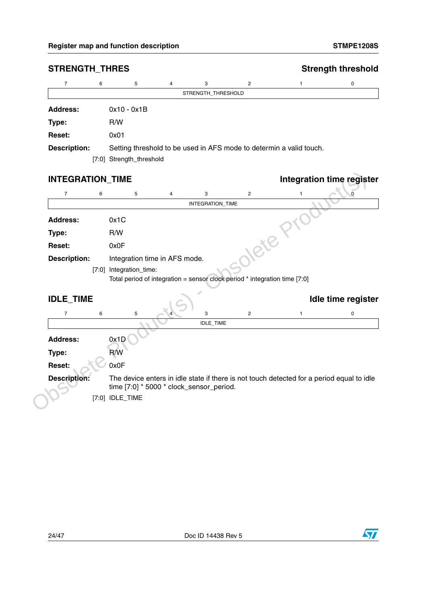| $\overline{7}$          | 6 | 5                                        | 4 | 3                  | $\overline{2}$                                                             | 1                                                                                         | 0 |
|-------------------------|---|------------------------------------------|---|--------------------|----------------------------------------------------------------------------|-------------------------------------------------------------------------------------------|---|
|                         |   |                                          |   | STRENGTH_THRESHOLD |                                                                            |                                                                                           |   |
| <b>Address:</b>         |   | $0x10 - 0x1B$                            |   |                    |                                                                            |                                                                                           |   |
| Type:                   |   | R/W                                      |   |                    |                                                                            |                                                                                           |   |
| <b>Reset:</b>           |   | 0x01                                     |   |                    |                                                                            |                                                                                           |   |
| <b>Description:</b>     |   |                                          |   |                    |                                                                            | Setting threshold to be used in AFS mode to determin a valid touch.                       |   |
|                         |   | [7:0] Strength_threshold                 |   |                    |                                                                            |                                                                                           |   |
| <b>INTEGRATION_TIME</b> |   |                                          |   |                    |                                                                            | <b>Integration time register</b>                                                          |   |
| $\overline{7}$          | 6 | 5                                        | 4 | 3                  | $\overline{c}$                                                             | 1                                                                                         |   |
|                         |   |                                          |   | INTEGRATION_TIME   |                                                                            |                                                                                           |   |
| <b>Address:</b>         |   | 0x1C                                     |   |                    |                                                                            |                                                                                           |   |
| Type:                   |   | R/W                                      |   |                    |                                                                            |                                                                                           |   |
| Reset:                  |   | 0x0F                                     |   |                    | Olete                                                                      |                                                                                           |   |
| <b>Description:</b>     |   | Integration time in AFS mode.            |   |                    |                                                                            |                                                                                           |   |
|                         |   | [7:0] Integration_time:                  |   |                    |                                                                            |                                                                                           |   |
|                         |   |                                          |   |                    | Total period of integration = sensor clock period * integration time [7:0] |                                                                                           |   |
| <b>IDLE_TIME</b>        |   |                                          |   |                    |                                                                            | Idle time register                                                                        |   |
| $\overline{7}$          | 6 | 5                                        |   | 3                  | $\mathbf{2}$                                                               | $\mathbf{1}$                                                                              | 0 |
|                         |   |                                          |   | IDLE_TIME          |                                                                            |                                                                                           |   |
| <b>Address:</b>         |   | 0x1D                                     |   |                    |                                                                            |                                                                                           |   |
| Type:                   |   | R/W                                      |   |                    |                                                                            |                                                                                           |   |
|                         |   |                                          |   |                    |                                                                            |                                                                                           |   |
| Reset:                  |   | 0x0F                                     |   |                    |                                                                            |                                                                                           |   |
| <b>Description:</b>     |   | time [7:0] * 5000 * clock_sensor_period. |   |                    |                                                                            | The device enters in idle state if there is not touch detected for a period equal to idle |   |

### **STRENGTH\_THRES** STRENGTH THRES

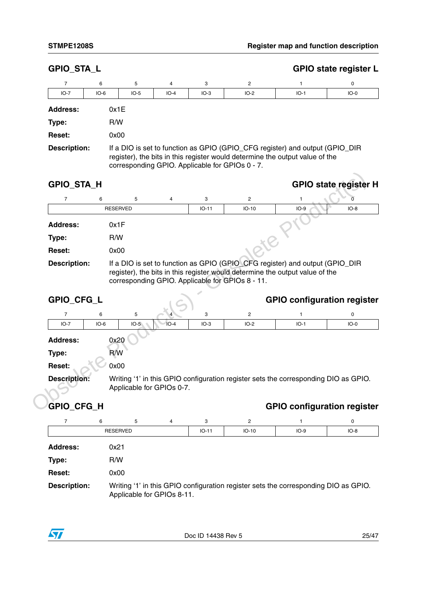| <b>GPIO_STA_L</b>   |        |        |                |        |                                                                                                                                                                                                                 |        | <b>GPIO state register L</b> |
|---------------------|--------|--------|----------------|--------|-----------------------------------------------------------------------------------------------------------------------------------------------------------------------------------------------------------------|--------|------------------------------|
| 7                   | 6      | 5      | $\overline{4}$ | 3      | 2                                                                                                                                                                                                               |        | 0                            |
| $IO-7$              | $IO-6$ | $IO-5$ | $IO-4$         | $IO-3$ | $IO-2$                                                                                                                                                                                                          | $IO-1$ | $IO-0$                       |
| <b>Address:</b>     | 0x1E   |        |                |        |                                                                                                                                                                                                                 |        |                              |
| Type:               | R/W    |        |                |        |                                                                                                                                                                                                                 |        |                              |
| <b>Reset:</b>       | 0x00   |        |                |        |                                                                                                                                                                                                                 |        |                              |
| <b>Description:</b> |        |        |                |        | If a DIO is set to function as GPIO (GPIO_CFG register) and output (GPIO_DIR<br>register), the bits in this register would determine the output value of the<br>corresponding GPIO. Applicable for GPIOs 0 - 7. |        |                              |

| <b>GPIO_STA_H</b>   |      |                 |   |         |                                                                                                                                                                                                                  |        | <b>GPIO state register H</b> |  |
|---------------------|------|-----------------|---|---------|------------------------------------------------------------------------------------------------------------------------------------------------------------------------------------------------------------------|--------|------------------------------|--|
|                     | 6    | 5               | 4 | 3       | $\overline{2}$                                                                                                                                                                                                   |        |                              |  |
|                     |      | <b>RESERVED</b> |   | $IO-11$ | $IO-10$                                                                                                                                                                                                          | $IO-9$ | $IO-8$                       |  |
| <b>Address:</b>     | 0x1F |                 |   |         |                                                                                                                                                                                                                  |        |                              |  |
| Type:               | R/W  |                 |   |         |                                                                                                                                                                                                                  |        |                              |  |
| <b>Reset:</b>       | 0x00 |                 |   |         |                                                                                                                                                                                                                  |        |                              |  |
| <b>Description:</b> |      |                 |   |         | If a DIO is set to function as GPIO (GPIO_CFG register) and output (GPIO_DIR<br>register), the bits in this register would determine the output value of the<br>corresponding GPIO. Applicable for GPIOs 8 - 11. |        |                              |  |

| $\overline{7}$                                     | 6               | 5      | 4                         | 3       | $\overline{2}$                                   | 1                                                                                                                                                            | 0      |
|----------------------------------------------------|-----------------|--------|---------------------------|---------|--------------------------------------------------|--------------------------------------------------------------------------------------------------------------------------------------------------------------|--------|
|                                                    | <b>RESERVED</b> |        |                           | $IO-11$ | $IO-10$                                          | $IO-9$                                                                                                                                                       | $IO-8$ |
| <b>Address:</b>                                    | 0x1F            |        |                           |         |                                                  |                                                                                                                                                              |        |
| Type:                                              | R/W             |        |                           |         |                                                  |                                                                                                                                                              |        |
| <b>Reset:</b>                                      | 0x00            |        |                           |         |                                                  |                                                                                                                                                              |        |
| <b>Description:</b>                                |                 |        |                           |         | corresponding GPIO. Applicable for GPIOs 8 - 11. | If a DIO is set to function as GPIO (GPIO_CFG register) and output (GPIO_DIR<br>register), the bits in this register would determine the output value of the |        |
| GPIO_CFG_L                                         |                 |        |                           |         |                                                  | <b>GPIO configuration register</b>                                                                                                                           |        |
|                                                    |                 |        |                           |         |                                                  |                                                                                                                                                              |        |
| $\overline{7}$                                     | 6               | 5      |                           | 3       | $\mathbf{2}$                                     |                                                                                                                                                              | 0      |
| $IO-7$                                             | $IO-6$          | $IO-5$ | $IO-4$                    | $IO-3$  | $IO-2$                                           | $IO-1$                                                                                                                                                       | $IO-0$ |
|                                                    | 0x20            |        |                           |         |                                                  |                                                                                                                                                              |        |
| <b>Address:</b><br>Type:                           | R/W             |        |                           |         |                                                  |                                                                                                                                                              |        |
|                                                    | 0x00            |        |                           |         |                                                  |                                                                                                                                                              |        |
|                                                    |                 |        | Applicable for GPIOs 0-7. |         |                                                  | Writing '1' in this GPIO configuration register sets the corresponding DIO as GPIO.                                                                          |        |
| <b>Reset:</b><br><b>Description:</b><br>GPIO_CFG_H |                 |        |                           |         |                                                  | <b>GPIO configuration register</b>                                                                                                                           |        |

|                     | <b>RESERVED</b>                                                                                                   | $IO-11$ | $IO-10$ | $IO-9$ | $IO - 8$ |
|---------------------|-------------------------------------------------------------------------------------------------------------------|---------|---------|--------|----------|
| <b>Address:</b>     | 0x21                                                                                                              |         |         |        |          |
| Type:               | R/W                                                                                                               |         |         |        |          |
| <b>Reset:</b>       | 0x00                                                                                                              |         |         |        |          |
| <b>Description:</b> | Writing '1' in this GPIO configuration register sets the corresponding DIO as GPIO.<br>Applicable for GPIOs 8-11. |         |         |        |          |

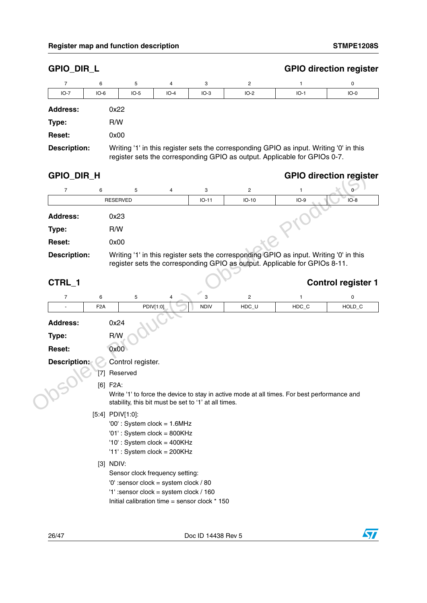| GPIO_DIR_L          |                  |                   |                                                                                 |                                                      |                         | <b>GPIO direction register</b>                                                                                                                                       |                           |
|---------------------|------------------|-------------------|---------------------------------------------------------------------------------|------------------------------------------------------|-------------------------|----------------------------------------------------------------------------------------------------------------------------------------------------------------------|---------------------------|
| $\overline{7}$      | 6                | 5                 | 4                                                                               | 3                                                    | 2                       | 1                                                                                                                                                                    | 0                         |
| $IO-7$              | $IO-6$           | $IO-5$            | $IO-4$                                                                          | $IO-3$                                               | $IO-2$                  | $IO-1$                                                                                                                                                               | $IO-0$                    |
| <b>Address:</b>     | 0x22             |                   |                                                                                 |                                                      |                         |                                                                                                                                                                      |                           |
| Type:               | R/W              |                   |                                                                                 |                                                      |                         |                                                                                                                                                                      |                           |
| <b>Reset:</b>       | 0x00             |                   |                                                                                 |                                                      |                         |                                                                                                                                                                      |                           |
| <b>Description:</b> |                  |                   |                                                                                 |                                                      |                         | Writing '1' in this register sets the corresponding GPIO as input. Writing '0' in this<br>register sets the corresponding GPIO as output. Applicable for GPIOs 0-7.  |                           |
| GPIO_DIR_H          |                  |                   |                                                                                 |                                                      |                         | <b>GPIO direction register</b>                                                                                                                                       |                           |
| $\overline{7}$      | 6                | 5                 | 4                                                                               | 3                                                    | $\overline{\mathbf{c}}$ | 1                                                                                                                                                                    | 0                         |
|                     |                  | <b>RESERVED</b>   |                                                                                 | $IO-11$                                              | $IO-10$                 | $IO-9$                                                                                                                                                               | $IO-8$                    |
| <b>Address:</b>     | 0x23             |                   |                                                                                 |                                                      |                         |                                                                                                                                                                      |                           |
| Type:               | R/W              |                   |                                                                                 |                                                      |                         |                                                                                                                                                                      |                           |
| Reset:              | 0x00             |                   |                                                                                 |                                                      |                         |                                                                                                                                                                      |                           |
| <b>Description:</b> |                  |                   |                                                                                 |                                                      |                         | Writing '1' in this register sets the corresponding GPIO as input. Writing '0' in this<br>register sets the corresponding GPIO as output. Applicable for GPIOs 8-11. |                           |
| CTRL_1              |                  |                   |                                                                                 |                                                      |                         |                                                                                                                                                                      | <b>Control register 1</b> |
|                     |                  |                   |                                                                                 |                                                      |                         |                                                                                                                                                                      |                           |
| $\overline{7}$      | 6                | 5                 | 4                                                                               | 3                                                    | $\sqrt{2}$              | 1                                                                                                                                                                    | 0                         |
|                     | F <sub>2</sub> A |                   | PDIV[1:0]                                                                       | <b>NDIV</b>                                          | $HDC_U$                 | HDC_C                                                                                                                                                                |                           |
| <b>Address:</b>     | 0x24             |                   |                                                                                 |                                                      |                         |                                                                                                                                                                      |                           |
| Type:               | R/W              |                   |                                                                                 |                                                      |                         |                                                                                                                                                                      |                           |
| <b>Reset:</b>       |                  | 0x00              |                                                                                 |                                                      |                         |                                                                                                                                                                      |                           |
| <b>Description:</b> |                  | Control register. |                                                                                 |                                                      |                         |                                                                                                                                                                      |                           |
|                     | [7]              | Reserved          |                                                                                 |                                                      |                         |                                                                                                                                                                      |                           |
|                     | $[6]$ F2A:       |                   |                                                                                 |                                                      |                         |                                                                                                                                                                      |                           |
|                     |                  |                   |                                                                                 | stability, this bit must be set to '1' at all times. |                         | Write '1' to force the device to stay in active mode at all times. For best performance and                                                                          |                           |
|                     | [5:4] PDIV[1:0]: |                   |                                                                                 |                                                      |                         |                                                                                                                                                                      |                           |
|                     |                  |                   | '00': System clock = 1.6MHz                                                     |                                                      |                         |                                                                                                                                                                      |                           |
|                     |                  |                   | '01': System clock = 800KHz                                                     |                                                      |                         |                                                                                                                                                                      |                           |
|                     |                  |                   | $'10'$ : System clock = 400KHz<br>'11': System clock = $200KHz$                 |                                                      |                         |                                                                                                                                                                      |                           |
|                     | $[3]$ NDIV:      |                   |                                                                                 |                                                      |                         |                                                                                                                                                                      |                           |
|                     |                  |                   | Sensor clock frequency setting:                                                 |                                                      |                         |                                                                                                                                                                      |                           |
|                     |                  |                   | '0' :sensor clock = system clock / 80<br>'1' :sensor clock = system clock / 160 |                                                      |                         |                                                                                                                                                                      | HOLD_C                    |

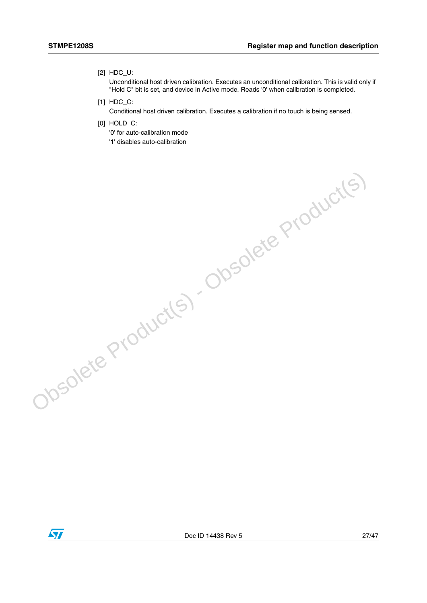#### [2] HDC\_U:

Unconditional host driven calibration. Executes an unconditional calibration. This is valid only if "Hold C" bit is set, and device in Active mode. Reads '0' when calibration is completed.

- [1] HDC\_C:
	- Conditional host driven calibration. Executes a calibration if no touch is being sensed.
- [0] HOLD C:
	- '0' for auto-calibration mode
	- '1' disables auto-calibration

 $\sqrt{27}$ 

Obsolete Product(s) - Obsolete Product(s)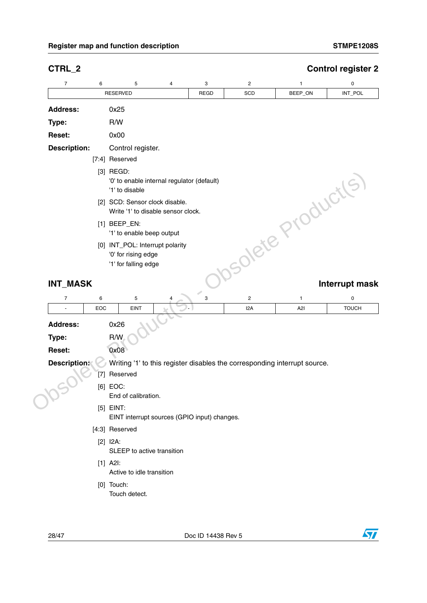### Register map and function description STMPE1208S **STMPE1208S**

 $\sqrt{2}$ 

| 4<br>3<br><b>REGD</b><br>Control register.<br>'0' to enable internal regulator (default)<br>solete Products)<br>[2] SCD: Sensor clock disable.<br>Write '1' to disable sensor clock.<br>'1' to enable beep output<br>[0] INT_POL: Interrupt polarity<br>'0' for rising edge<br>'1' for falling edge<br>3 |
|----------------------------------------------------------------------------------------------------------------------------------------------------------------------------------------------------------------------------------------------------------------------------------------------------------|
|                                                                                                                                                                                                                                                                                                          |
|                                                                                                                                                                                                                                                                                                          |
|                                                                                                                                                                                                                                                                                                          |
|                                                                                                                                                                                                                                                                                                          |
|                                                                                                                                                                                                                                                                                                          |
|                                                                                                                                                                                                                                                                                                          |
|                                                                                                                                                                                                                                                                                                          |
|                                                                                                                                                                                                                                                                                                          |
|                                                                                                                                                                                                                                                                                                          |
|                                                                                                                                                                                                                                                                                                          |
|                                                                                                                                                                                                                                                                                                          |
|                                                                                                                                                                                                                                                                                                          |
|                                                                                                                                                                                                                                                                                                          |
|                                                                                                                                                                                                                                                                                                          |
|                                                                                                                                                                                                                                                                                                          |
|                                                                                                                                                                                                                                                                                                          |
|                                                                                                                                                                                                                                                                                                          |
|                                                                                                                                                                                                                                                                                                          |
|                                                                                                                                                                                                                                                                                                          |
|                                                                                                                                                                                                                                                                                                          |
|                                                                                                                                                                                                                                                                                                          |
|                                                                                                                                                                                                                                                                                                          |
| Writing '1' to this register disables the corresponding interrupt source.                                                                                                                                                                                                                                |
|                                                                                                                                                                                                                                                                                                          |
|                                                                                                                                                                                                                                                                                                          |
| End of calibration.                                                                                                                                                                                                                                                                                      |
|                                                                                                                                                                                                                                                                                                          |
| EINT interrupt sources (GPIO input) changes.                                                                                                                                                                                                                                                             |
|                                                                                                                                                                                                                                                                                                          |
|                                                                                                                                                                                                                                                                                                          |
| SLEEP to active transition                                                                                                                                                                                                                                                                               |
|                                                                                                                                                                                                                                                                                                          |
|                                                                                                                                                                                                                                                                                                          |
| Active to idle transition                                                                                                                                                                                                                                                                                |
|                                                                                                                                                                                                                                                                                                          |

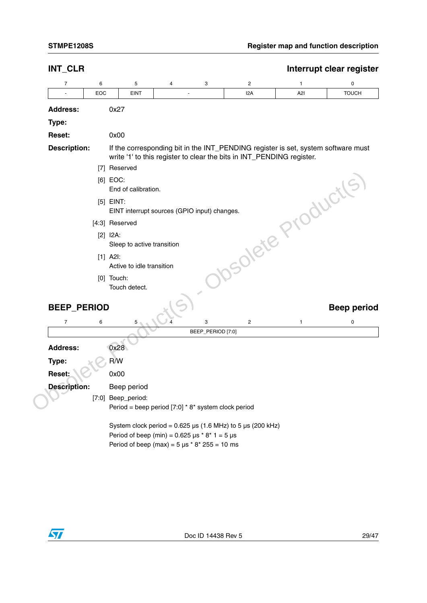| INT_CLR             |     |                                                             |   |                   |                                                                       |                                                                                   | Interrupt clear register |
|---------------------|-----|-------------------------------------------------------------|---|-------------------|-----------------------------------------------------------------------|-----------------------------------------------------------------------------------|--------------------------|
| 7                   | 6   | 5                                                           | 4 | 3                 | $\overline{c}$                                                        | 1                                                                                 | 0                        |
|                     | EOC | <b>EINT</b>                                                 |   |                   | 12A                                                                   | A2I                                                                               | <b>TOUCH</b>             |
| <b>Address:</b>     |     | 0x27                                                        |   |                   |                                                                       |                                                                                   |                          |
| Type:               |     |                                                             |   |                   |                                                                       |                                                                                   |                          |
| Reset:              |     | 0x00                                                        |   |                   |                                                                       |                                                                                   |                          |
| <b>Description:</b> |     |                                                             |   |                   | write '1' to this register to clear the bits in INT_PENDING register. | If the corresponding bit in the INT_PENDING register is set, system software must |                          |
|                     |     | [7] Reserved                                                |   |                   |                                                                       |                                                                                   |                          |
|                     |     | [6] EOC:<br>End of calibration.                             |   |                   |                                                                       |                                                                                   |                          |
|                     |     | $[5]$ EINT:<br>EINT interrupt sources (GPIO input) changes. |   |                   |                                                                       |                                                                                   |                          |
|                     |     | [4:3] Reserved                                              |   |                   |                                                                       |                                                                                   |                          |
|                     |     | $[2]$ $I2A$ :<br>Sleep to active transition                 |   |                   |                                                                       |                                                                                   |                          |
|                     |     | $[1]$ A2I:<br>Active to idle transition                     |   |                   |                                                                       | solete Products.                                                                  |                          |
|                     |     | $[0]$ Touch:<br>Touch detect.                               |   |                   |                                                                       |                                                                                   |                          |
| <b>BEEP_PERIOD</b>  |     |                                                             |   |                   |                                                                       |                                                                                   | <b>Beep period</b>       |
| $\overline{7}$      | 6   | 5                                                           |   | 3                 | $\overline{c}$                                                        | 1                                                                                 | 0                        |
|                     |     |                                                             |   | BEEP_PERIOD [7:0] |                                                                       |                                                                                   |                          |
| <b>Address:</b>     |     | 0x28                                                        |   |                   |                                                                       |                                                                                   |                          |
| Type:               |     | R/W                                                         |   |                   |                                                                       |                                                                                   |                          |
| Reset:              |     | 0x00                                                        |   |                   |                                                                       |                                                                                   |                          |
| <b>Description:</b> |     | Beep period                                                 |   |                   |                                                                       |                                                                                   |                          |
|                     |     | [7:0] Beep_period:                                          |   |                   |                                                                       |                                                                                   |                          |
|                     |     | Period = beep period $[7:0]$ * 8* system clock period       |   |                   |                                                                       |                                                                                   |                          |
|                     |     | Period of beep (min) = $0.625 \mu s * 8 * 1 = 5 \mu s$      |   |                   | System clock period = $0.625 \mu s$ (1.6 MHz) to 5 $\mu s$ (200 kHz)  |                                                                                   |                          |
|                     |     |                                                             |   |                   |                                                                       |                                                                                   |                          |

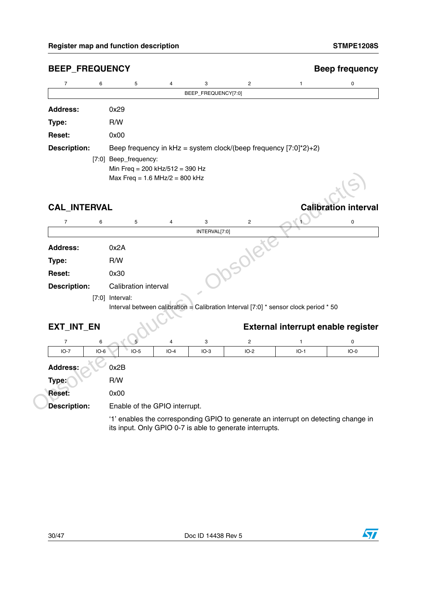| $\overline{7}$      | 6<br>5                      | $\overline{4}$                                                                       | 3<br>BEEP_FREQUENCY[7:0] | $\overline{c}$                                                     | 1                                                                                  | 0                           |  |  |
|---------------------|-----------------------------|--------------------------------------------------------------------------------------|--------------------------|--------------------------------------------------------------------|------------------------------------------------------------------------------------|-----------------------------|--|--|
| <b>Address:</b>     | 0x29                        |                                                                                      |                          |                                                                    |                                                                                    |                             |  |  |
| Type:               | R/W                         |                                                                                      |                          |                                                                    |                                                                                    |                             |  |  |
| <b>Reset:</b>       | 0x00                        |                                                                                      |                          |                                                                    |                                                                                    |                             |  |  |
| <b>Description:</b> |                             |                                                                                      |                          | Beep frequency in $kHz = system clock/(beep frequency [7:0]*2)+2)$ |                                                                                    |                             |  |  |
|                     | [7:0] Beep_frequency:       | Min Freq = 200 kHz/512 = 390 Hz<br>Max Freq = $1.6$ MHz/2 = 800 kHz                  |                          |                                                                    |                                                                                    |                             |  |  |
| <b>CAL_INTERVAL</b> |                             |                                                                                      |                          |                                                                    |                                                                                    | <b>Calibration interval</b> |  |  |
| $\overline{7}$      | 6<br>5                      | $\overline{4}$                                                                       | 3<br>INTERVAL[7:0]       | $\overline{c}$                                                     |                                                                                    | 0                           |  |  |
|                     |                             |                                                                                      |                          |                                                                    |                                                                                    |                             |  |  |
| <b>Address:</b>     | 0x2A                        |                                                                                      |                          | <b>sole</b>                                                        |                                                                                    |                             |  |  |
| Type:               | R/W                         |                                                                                      |                          |                                                                    |                                                                                    |                             |  |  |
| <b>Reset:</b>       | 0x30                        |                                                                                      |                          |                                                                    |                                                                                    |                             |  |  |
| <b>Description:</b> | <b>Calibration interval</b> |                                                                                      |                          |                                                                    |                                                                                    |                             |  |  |
|                     | $[7:0]$ Interval:           | Interval between calibration = Calibration Interval [7:0] * sensor clock period * 50 |                          |                                                                    |                                                                                    |                             |  |  |
| EXT_INT_EN          |                             |                                                                                      |                          |                                                                    | External interrupt enable register                                                 |                             |  |  |
| $\overline{7}$      | 6<br>5                      | 4                                                                                    | 3                        | $\overline{c}$                                                     | $\mathbf{1}$                                                                       | 0                           |  |  |
| $IO-7$              | $IO-5$<br>$IO-6$            | $IO-4$                                                                               | $IO-3$                   | $IO-2$                                                             | $IO-1$                                                                             | $IO-0$                      |  |  |
| <b>Address:</b>     | 0x2B                        |                                                                                      |                          |                                                                    |                                                                                    |                             |  |  |
| Type:               | R/W                         |                                                                                      |                          |                                                                    |                                                                                    |                             |  |  |
| Reset:              | 0x00                        |                                                                                      |                          |                                                                    |                                                                                    |                             |  |  |
| <b>Description:</b> |                             | Enable of the GPIO interrupt.                                                        |                          |                                                                    |                                                                                    |                             |  |  |
|                     |                             |                                                                                      |                          | its input. Only GPIO 0-7 is able to generate interrupts.           | '1' enables the corresponding GPIO to generate an interrupt on detecting change in |                             |  |  |

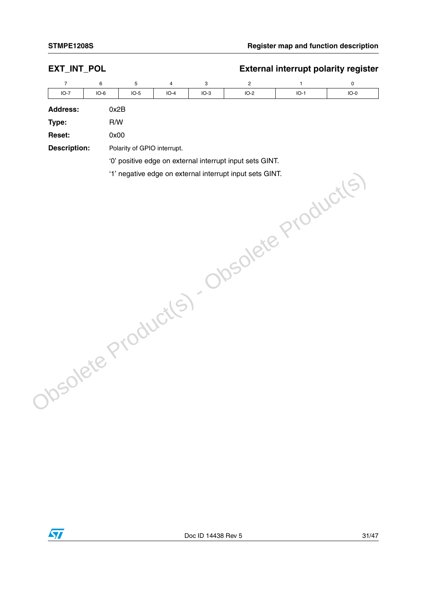| EXT_INT_POL         |        |                             |        |        |                                                          | <b>External interrupt polarity register</b> |        |
|---------------------|--------|-----------------------------|--------|--------|----------------------------------------------------------|---------------------------------------------|--------|
| $\overline{7}$      | 6      | 5                           | 4      | 3      | $\overline{\mathbf{c}}$                                  | $\mathbf{1}$                                | 0      |
| $IO-7$              | $IO-6$ | $IO-5$                      | $IO-4$ | $IO-3$ | $IO-2$                                                   | $IO-1$                                      | $IO-0$ |
| <b>Address:</b>     |        | 0x2B                        |        |        |                                                          |                                             |        |
| Type:               |        | R/W                         |        |        |                                                          |                                             |        |
| Reset:              |        | 0x00                        |        |        |                                                          |                                             |        |
| <b>Description:</b> |        | Polarity of GPIO interrupt. |        |        |                                                          |                                             |        |
|                     |        |                             |        |        | '0' positive edge on external interrupt input sets GINT. |                                             |        |
|                     |        |                             |        |        |                                                          |                                             |        |
|                     |        |                             |        |        |                                                          |                                             |        |
|                     |        |                             |        |        |                                                          |                                             |        |
|                     |        |                             |        |        |                                                          |                                             |        |
|                     |        |                             |        |        |                                                          |                                             |        |
|                     |        |                             |        |        |                                                          |                                             |        |
|                     |        |                             |        |        |                                                          |                                             |        |
|                     |        |                             |        |        |                                                          |                                             |        |
|                     |        |                             |        |        |                                                          |                                             |        |
|                     |        |                             |        |        |                                                          |                                             |        |
|                     |        |                             |        |        |                                                          |                                             |        |
|                     |        |                             |        |        |                                                          |                                             |        |
|                     |        |                             |        |        |                                                          |                                             |        |
|                     |        |                             |        |        |                                                          |                                             |        |
|                     |        |                             |        |        |                                                          |                                             |        |
|                     |        |                             |        |        |                                                          |                                             |        |
|                     |        |                             |        |        |                                                          |                                             |        |
|                     |        |                             |        |        |                                                          |                                             |        |
|                     |        |                             |        |        |                                                          |                                             |        |
|                     |        |                             |        |        |                                                          |                                             |        |
|                     |        |                             |        |        |                                                          |                                             |        |
|                     |        |                             |        |        |                                                          |                                             |        |
|                     |        |                             |        |        |                                                          |                                             |        |
|                     |        |                             |        |        |                                                          |                                             |        |
|                     |        |                             |        |        |                                                          |                                             |        |
|                     |        |                             |        |        |                                                          |                                             |        |
|                     |        |                             |        |        |                                                          |                                             |        |
|                     |        |                             |        |        |                                                          |                                             |        |
|                     |        |                             |        |        |                                                          |                                             |        |
|                     |        |                             |        |        |                                                          |                                             |        |
|                     |        |                             |        |        | Obsolete Product(s) - Obsolete Product(s)                |                                             |        |

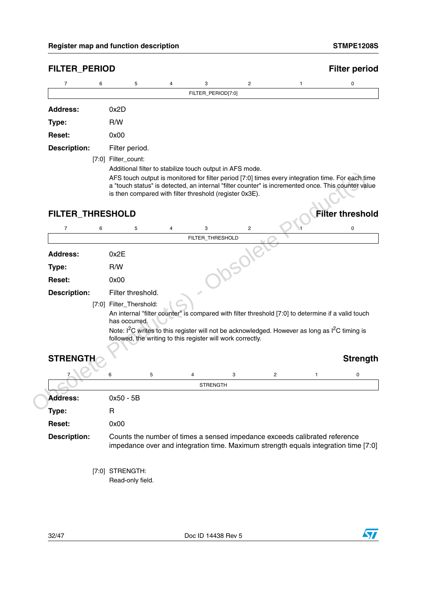| $\overline{7}$                       | 6 | 5                                                           |   | 4 | 3                  |   | $\overline{\mathbf{c}}$ | 1                                                                                                                      |   | $\mathbf 0$                                                                                                                                                                                             |
|--------------------------------------|---|-------------------------------------------------------------|---|---|--------------------|---|-------------------------|------------------------------------------------------------------------------------------------------------------------|---|---------------------------------------------------------------------------------------------------------------------------------------------------------------------------------------------------------|
|                                      |   |                                                             |   |   | FILTER_PERIOD[7:0] |   |                         |                                                                                                                        |   |                                                                                                                                                                                                         |
| <b>Address:</b>                      |   | 0x2D                                                        |   |   |                    |   |                         |                                                                                                                        |   |                                                                                                                                                                                                         |
| Type:                                |   | R/W                                                         |   |   |                    |   |                         |                                                                                                                        |   |                                                                                                                                                                                                         |
| Reset:                               |   | 0x00                                                        |   |   |                    |   |                         |                                                                                                                        |   |                                                                                                                                                                                                         |
| <b>Description:</b>                  |   | Filter period.                                              |   |   |                    |   |                         |                                                                                                                        |   |                                                                                                                                                                                                         |
|                                      |   | [7:0] Filter_count:                                         |   |   |                    |   |                         |                                                                                                                        |   |                                                                                                                                                                                                         |
|                                      |   | Additional filter to stabilize touch output in AFS mode.    |   |   |                    |   |                         |                                                                                                                        |   |                                                                                                                                                                                                         |
|                                      |   |                                                             |   |   |                    |   |                         |                                                                                                                        |   | AFS touch output is monitored for filter period [7:0] times every integration time. For each time<br>a "touch status" is detected, an internal "filter counter" is incremented once. This counter value |
|                                      |   | is then compared with filter threshold (register 0x3E).     |   |   |                    |   |                         |                                                                                                                        |   |                                                                                                                                                                                                         |
|                                      |   |                                                             |   |   |                    |   |                         |                                                                                                                        |   |                                                                                                                                                                                                         |
| FILTER_THRESHOLD                     |   |                                                             |   |   |                    |   |                         |                                                                                                                        |   | <b>Filter threshold</b>                                                                                                                                                                                 |
| $\overline{7}$                       | 6 | 5                                                           |   | 4 | 3                  |   | $\overline{\mathbf{c}}$ |                                                                                                                        |   | 0                                                                                                                                                                                                       |
|                                      |   |                                                             |   |   | FILTER_THRESHOLD   |   |                         |                                                                                                                        |   |                                                                                                                                                                                                         |
| <b>Address:</b>                      |   | 0x2E                                                        |   |   |                    |   |                         |                                                                                                                        |   |                                                                                                                                                                                                         |
| Type:                                |   | R/W                                                         |   |   |                    |   |                         |                                                                                                                        |   |                                                                                                                                                                                                         |
| Reset:                               |   | 0x00                                                        |   |   |                    |   |                         |                                                                                                                        |   |                                                                                                                                                                                                         |
| <b>Description:</b>                  |   | Filter threshold.                                           |   |   |                    |   |                         |                                                                                                                        |   |                                                                                                                                                                                                         |
|                                      |   |                                                             |   |   |                    |   |                         |                                                                                                                        |   |                                                                                                                                                                                                         |
|                                      |   | [7:0] Filter_Thershold:                                     |   |   |                    |   |                         |                                                                                                                        |   |                                                                                                                                                                                                         |
|                                      |   |                                                             |   |   |                    |   |                         |                                                                                                                        |   | An internal "filter counter" is compared with filter threshold [7:0] to determine if a valid touch                                                                                                      |
|                                      |   | has occurred.                                               |   |   |                    |   |                         |                                                                                                                        |   |                                                                                                                                                                                                         |
|                                      |   | followed, the writing to this register will work correctly. |   |   |                    |   |                         | Note: I <sup>2</sup> C writes to this register will not be acknowledged. However as long as I <sup>2</sup> C timing is |   |                                                                                                                                                                                                         |
|                                      |   |                                                             |   |   |                    |   |                         |                                                                                                                        |   |                                                                                                                                                                                                         |
| <b>STRENGTH</b>                      |   |                                                             |   |   |                    |   |                         |                                                                                                                        |   | <b>Strength</b>                                                                                                                                                                                         |
|                                      |   | 6                                                           | 5 |   | 4                  | 3 |                         | $\overline{\mathbf{c}}$                                                                                                | 1 | 0                                                                                                                                                                                                       |
|                                      |   |                                                             |   |   | <b>STRENGTH</b>    |   |                         |                                                                                                                        |   |                                                                                                                                                                                                         |
| <b>Address:</b>                      |   | $0x50 - 5B$                                                 |   |   |                    |   |                         |                                                                                                                        |   |                                                                                                                                                                                                         |
| Type:                                |   | R                                                           |   |   |                    |   |                         |                                                                                                                        |   |                                                                                                                                                                                                         |
|                                      |   | 0x00                                                        |   |   |                    |   |                         |                                                                                                                        |   |                                                                                                                                                                                                         |
| <b>Reset:</b><br><b>Description:</b> |   |                                                             |   |   |                    |   |                         | Counts the number of times a sensed impedance exceeds calibrated reference                                             |   |                                                                                                                                                                                                         |
|                                      |   |                                                             |   |   |                    |   |                         |                                                                                                                        |   |                                                                                                                                                                                                         |
|                                      |   |                                                             |   |   |                    |   |                         |                                                                                                                        |   |                                                                                                                                                                                                         |
|                                      |   | [7:0] STRENGTH:<br>Read-only field.                         |   |   |                    |   |                         |                                                                                                                        |   | impedance over and integration time. Maximum strength equals integration time [7:0]                                                                                                                     |

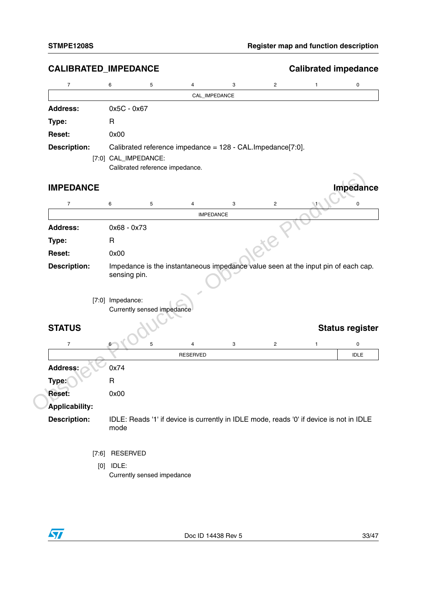| CALIBRATED_IMPEDANCE  |                                                                                                   |                  |   |                | <b>Calibrated impedance</b> |                        |
|-----------------------|---------------------------------------------------------------------------------------------------|------------------|---|----------------|-----------------------------|------------------------|
| $\overline{7}$        | 5<br>6                                                                                            | 4                | 3 | $\overline{c}$ | 1                           | 0                      |
|                       |                                                                                                   | CAL_IMPEDANCE    |   |                |                             |                        |
| <b>Address:</b>       | 0x5C - 0x67                                                                                       |                  |   |                |                             |                        |
| Type:                 | $\mathsf{R}$                                                                                      |                  |   |                |                             |                        |
| Reset:                | 0x00                                                                                              |                  |   |                |                             |                        |
| <b>Description:</b>   | Calibrated reference impedance = 128 - CAL. Impedance [7:0].                                      |                  |   |                |                             |                        |
|                       | [7:0] CAL_IMPEDANCE:<br>Calibrated reference impedance.                                           |                  |   |                |                             |                        |
| <b>IMPEDANCE</b>      |                                                                                                   |                  |   |                |                             | <b>Impedance</b>       |
| $\overline{7}$        | 6<br>5                                                                                            | 4                | 3 | $\overline{c}$ |                             | 0                      |
|                       |                                                                                                   | <b>IMPEDANCE</b> |   |                |                             |                        |
| <b>Address:</b>       | 0x68 - 0x73                                                                                       |                  |   |                |                             |                        |
| Type:                 | R                                                                                                 |                  |   |                |                             |                        |
| <b>Reset:</b>         | 0x00                                                                                              |                  |   |                |                             |                        |
| <b>Description:</b>   | Impedance is the instantaneous impedance value seen at the input pin of each cap.<br>sensing pin. |                  |   |                |                             |                        |
|                       | [7:0] Impedance:<br>Currently sensed impedance                                                    |                  |   |                |                             |                        |
| <b>STATUS</b>         |                                                                                                   |                  |   |                |                             | <b>Status register</b> |
| 7                     | 5<br>6                                                                                            | 4                | 3 | $\overline{2}$ | 1                           | 0                      |
|                       |                                                                                                   | <b>RESERVED</b>  |   |                |                             | <b>IDLE</b>            |
| <b>Address:</b>       | 0x74                                                                                              |                  |   |                |                             |                        |
| Type:                 | $\mathsf R$                                                                                       |                  |   |                |                             |                        |
| Reset:                | 0x00                                                                                              |                  |   |                |                             |                        |
| <b>Applicability:</b> |                                                                                                   |                  |   |                |                             |                        |
| <b>Description:</b>   | IDLE: Reads '1' if device is currently in IDLE mode, reads '0' if device is not in IDLE<br>mode   |                  |   |                |                             |                        |
|                       | [7:6] RESERVED                                                                                    |                  |   |                |                             |                        |
|                       | $[0]$ IDLE:                                                                                       |                  |   |                |                             |                        |
|                       | Currently sensed impedance                                                                        |                  |   |                |                             |                        |

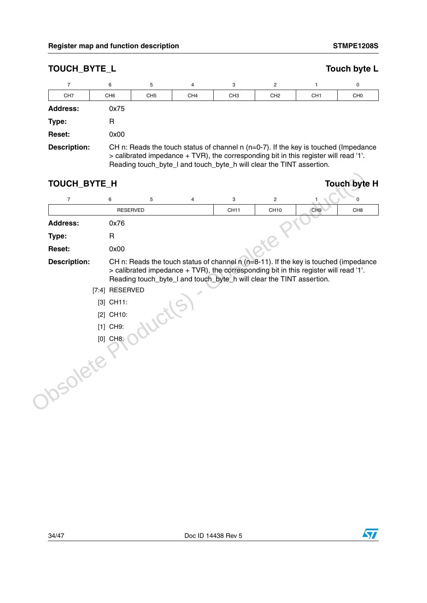| <b>TOUCH BYTE L</b> |                 |                 |                 |                                                                                                                                                                                                                                                           |                 |                 | Touch byte L    |
|---------------------|-----------------|-----------------|-----------------|-----------------------------------------------------------------------------------------------------------------------------------------------------------------------------------------------------------------------------------------------------------|-----------------|-----------------|-----------------|
|                     | 6               | 5               | 4               | 3                                                                                                                                                                                                                                                         | 2               |                 | 0               |
| CH <sub>7</sub>     | CH <sub>6</sub> | CH <sub>5</sub> | CH <sub>4</sub> | CH <sub>3</sub>                                                                                                                                                                                                                                           | CH <sub>2</sub> | CH <sub>1</sub> | CH <sub>0</sub> |
| <b>Address:</b>     | 0x75            |                 |                 |                                                                                                                                                                                                                                                           |                 |                 |                 |
| Type:               | R               |                 |                 |                                                                                                                                                                                                                                                           |                 |                 |                 |
| <b>Reset:</b>       | 0x00            |                 |                 |                                                                                                                                                                                                                                                           |                 |                 |                 |
| Description:        |                 |                 |                 | CH n: Reads the touch status of channel $n$ ( $n=0-7$ ). If the key is touched (Impedance<br>> calibrated impedance + TVR), the corresponding bit in this register will read '1'.<br>Reading touch_byte_I and touch_byte_h will clear the TINT assertion. |                 |                 |                 |

| $\overline{7}$      | 6               | 5 | 4 | 3                                                                                                                                                                                                                                                    | $\overline{2}$   |                 | 0               |
|---------------------|-----------------|---|---|------------------------------------------------------------------------------------------------------------------------------------------------------------------------------------------------------------------------------------------------------|------------------|-----------------|-----------------|
|                     | <b>RESERVED</b> |   |   | <b>CH11</b>                                                                                                                                                                                                                                          | CH <sub>10</sub> | CH <sub>9</sub> | CH <sub>8</sub> |
| <b>Address:</b>     | 0x76            |   |   |                                                                                                                                                                                                                                                      |                  |                 |                 |
| Type:               | $\mathsf{R}$    |   |   |                                                                                                                                                                                                                                                      |                  |                 |                 |
| Reset:              | 0x00            |   |   |                                                                                                                                                                                                                                                      |                  |                 |                 |
| <b>Description:</b> | [7:4] RESERVED  |   |   | CH n: Reads the touch status of channel n (n=8-11). If the key is touched (impedance<br>> calibrated impedance + TVR), the corresponding bit in this register will read '1'.<br>Reading touch_byte_I and touch_byte_h will clear the TINT assertion. |                  |                 |                 |
|                     | $[3]$ CH11:     |   |   |                                                                                                                                                                                                                                                      |                  |                 |                 |
|                     | [2] CH10:       |   |   |                                                                                                                                                                                                                                                      |                  |                 |                 |
|                     | $[1]$ CH9:      |   |   |                                                                                                                                                                                                                                                      |                  |                 |                 |
|                     | $[0]$ CH8:      |   |   |                                                                                                                                                                                                                                                      |                  |                 |                 |
| <b>10SOlete</b>     |                 |   |   |                                                                                                                                                                                                                                                      |                  |                 |                 |

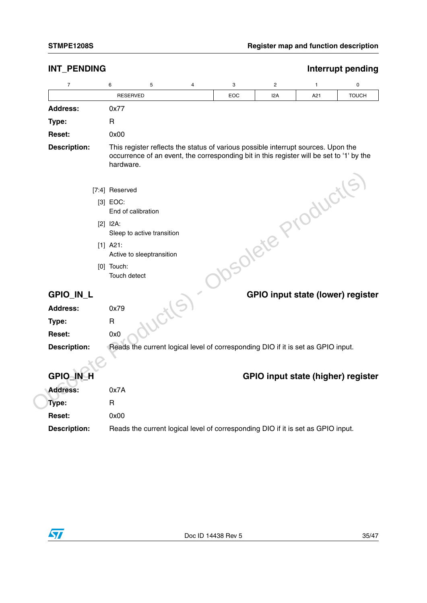| INT_PENDING         |                                           |   |   |                                                                                                                                                                               |     |                                    | Interrupt pending |
|---------------------|-------------------------------------------|---|---|-------------------------------------------------------------------------------------------------------------------------------------------------------------------------------|-----|------------------------------------|-------------------|
| 7                   | 6                                         | 5 | 4 | 3                                                                                                                                                                             | 2   | 1                                  | $\pmb{0}$         |
|                     | <b>RESERVED</b>                           |   |   | EOC                                                                                                                                                                           | I2A | A21                                | <b>TOUCH</b>      |
| <b>Address:</b>     | 0x77                                      |   |   |                                                                                                                                                                               |     |                                    |                   |
| Type:               | R                                         |   |   |                                                                                                                                                                               |     |                                    |                   |
| <b>Reset:</b>       | 0x00                                      |   |   |                                                                                                                                                                               |     |                                    |                   |
| <b>Description:</b> | hardware.                                 |   |   | This register reflects the status of various possible interrupt sources. Upon the<br>occurrence of an event, the corresponding bit in this register will be set to '1' by the |     |                                    |                   |
|                     | [7:4] Reserved                            |   |   |                                                                                                                                                                               |     |                                    |                   |
|                     | $[3]$ EOC:                                |   |   |                                                                                                                                                                               |     |                                    |                   |
|                     | End of calibration                        |   |   |                                                                                                                                                                               |     |                                    |                   |
|                     | $[2]$ $I2A$ :                             |   |   |                                                                                                                                                                               |     |                                    |                   |
|                     | Sleep to active transition                |   |   |                                                                                                                                                                               |     |                                    |                   |
|                     | $[1]$ A21:                                |   |   |                                                                                                                                                                               |     |                                    |                   |
|                     | Active to sleeptransition<br>$[0]$ Touch: |   |   |                                                                                                                                                                               |     |                                    |                   |
|                     | Touch detect                              |   |   |                                                                                                                                                                               |     | Jsolete Products                   |                   |
| GPIO_IN_L           |                                           |   |   |                                                                                                                                                                               |     | GPIO input state (lower) register  |                   |
| <b>Address:</b>     | 0x79                                      |   |   |                                                                                                                                                                               |     |                                    |                   |
| Type:               | $\mathsf{R}$                              |   |   |                                                                                                                                                                               |     |                                    |                   |
| Reset:              | 0x0                                       |   |   |                                                                                                                                                                               |     |                                    |                   |
| <b>Description:</b> |                                           |   |   | Reads the current logical level of corresponding DIO if it is set as GPIO input.                                                                                              |     |                                    |                   |
|                     |                                           |   |   |                                                                                                                                                                               |     |                                    |                   |
| <b>GPIO IN H</b>    |                                           |   |   |                                                                                                                                                                               |     | GPIO input state (higher) register |                   |
| <b>Address:</b>     | 0x7A                                      |   |   |                                                                                                                                                                               |     |                                    |                   |
|                     |                                           |   |   |                                                                                                                                                                               |     |                                    |                   |
| Type:               | $\mathsf{R}$                              |   |   |                                                                                                                                                                               |     |                                    |                   |
| <b>Reset:</b>       | 0x00                                      |   |   |                                                                                                                                                                               |     |                                    |                   |

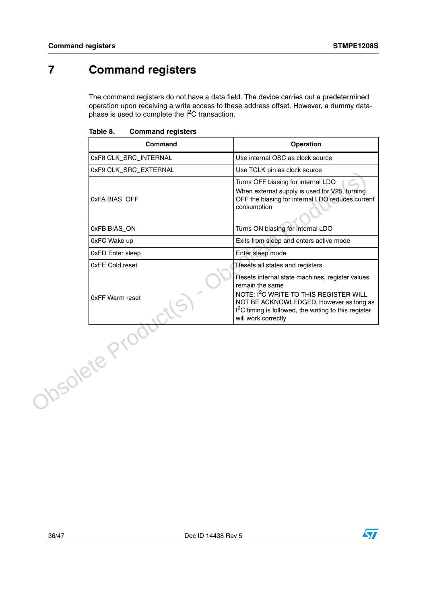# <span id="page-35-0"></span>**7 Command registers**

The command registers do not have a data field. The device carries out a predetermined operation upon receiving a write access to these address offset. However, a dummy dataphase is used to complete the  $I<sup>2</sup>C$  transaction.

|           | Command                 | <b>Operation</b>                                                                                                                                                                                                                                                |
|-----------|-------------------------|-----------------------------------------------------------------------------------------------------------------------------------------------------------------------------------------------------------------------------------------------------------------|
|           | 0xF8 CLK_SRC_INTERNAL   | Use internal OSC as clock source                                                                                                                                                                                                                                |
|           | 0xF9 CLK_SRC_EXTERNAL   | Use TCLK pin as clock source                                                                                                                                                                                                                                    |
|           | 0xFA BIAS_OFF           | Turns OFF biasing for internal LDO<br>When external supply is used for V25, turning<br>OFF the biasing for internal LDO reduces current<br>consumption                                                                                                          |
|           | 0xFB BIAS_ON            | Turns ON biasing for internal LDO                                                                                                                                                                                                                               |
|           | 0xFC Wake up            | Exits from sleep and enters active mode                                                                                                                                                                                                                         |
|           | <b>OxFD Enter sleep</b> | Enter sleep mode                                                                                                                                                                                                                                                |
|           | 0xFE Cold reset         | Resets all states and registers                                                                                                                                                                                                                                 |
|           | 0xFF Warm reset         | Resets internal state machines, register values<br>remain the same<br>NOTE: I <sup>2</sup> C WRITE TO THIS REGISTER WILL<br>NOT BE ACKNOWLEDGED. However as long as<br>I <sup>2</sup> C timing is followed, the writing to this register<br>will work correctly |
| DSOlete P |                         |                                                                                                                                                                                                                                                                 |

<span id="page-35-1"></span>Table 8. **Command registers** 

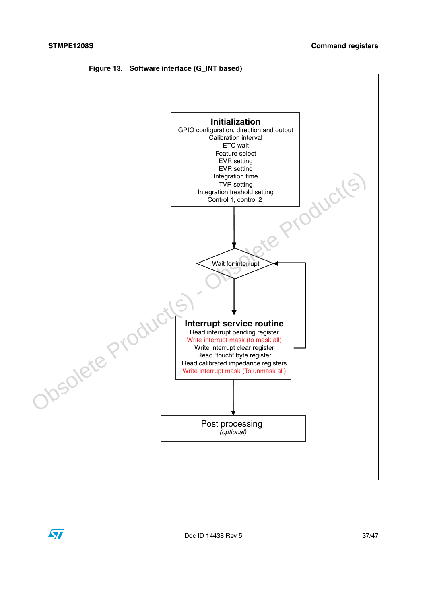<span id="page-36-0"></span>

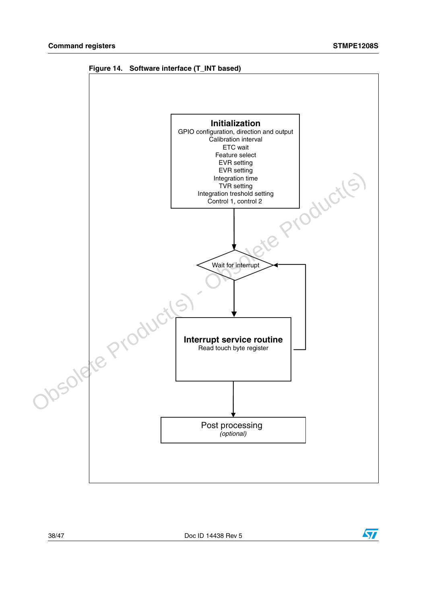

<span id="page-37-0"></span>**Figure 14. Software interface (T\_INT based)**

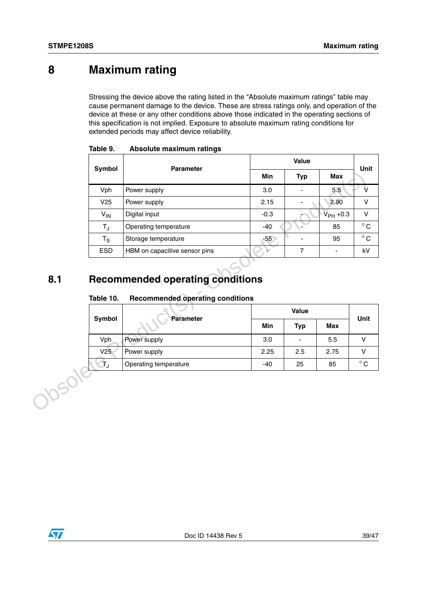# <span id="page-38-0"></span>**8 Maximum rating**

Stressing the device above the rating listed in the "Absolute maximum ratings" table may cause permanent damage to the device. These are stress ratings only, and operation of the device at these or any other conditions above those indicated in the operating sections of this specification is not implied. Exposure to absolute maximum rating conditions for extended periods may affect device reliability.

| Symbol           | <b>Parameter</b>                                                                                                    |            | Value          |                          |
|------------------|---------------------------------------------------------------------------------------------------------------------|------------|----------------|--------------------------|
|                  |                                                                                                                     | <b>Min</b> | <b>Typ</b>     | <b>Max</b>               |
| Vph              | Power supply                                                                                                        | 3.0        | $\blacksquare$ | 5.5                      |
| V25              | Power supply                                                                                                        | 2.15       |                | 2.90                     |
| $V_{IN}$         | Digital input                                                                                                       | $-0.3$     |                | $\overline{V}_{PH}$ +0.3 |
| $T_{J}$          | Operating temperature                                                                                               | $-40$      |                | 85                       |
| $T_{\rm S}$      | Storage temperature                                                                                                 | $-55$      | $\blacksquare$ | 95                       |
| <b>ESD</b>       |                                                                                                                     | ⊾          | $\overline{7}$ | $\overline{\phantom{a}}$ |
| Table 10.        | HBM on capacitive sensor pins<br><b>Recommended operating conditions</b><br><b>Recommended operating conditions</b> |            |                |                          |
|                  |                                                                                                                     |            | Value          |                          |
| Symbol           | <b>Parameter</b>                                                                                                    | Min        | <b>Typ</b>     | Max                      |
| Vph              | Power supply                                                                                                        | 3.0        | $\blacksquare$ | 5.5                      |
| $V2\overline{5}$ | Power supply                                                                                                        | 2.25       | 2.5            | 2.75                     |

<span id="page-38-2"></span>

| Table 9. |  | Absolute maximum ratings |
|----------|--|--------------------------|
|----------|--|--------------------------|

## <span id="page-38-1"></span>**8.1 Recommended operating conditions**

#### <span id="page-38-3"></span>Table 10. **Table 10. Recommended operating conditions**

| Symbol | <b>Parameter</b>      |       | <b>Unit</b>              |            |              |  |
|--------|-----------------------|-------|--------------------------|------------|--------------|--|
|        |                       | Min   | <b>Typ</b>               | <b>Max</b> |              |  |
| Vph    | Power supply          | 3.0   | $\overline{\phantom{0}}$ | 5.5        |              |  |
| V25    | Power supply          | 2.25  | 2.5                      | 2.75       |              |  |
| T,     | Operating temperature | $-40$ | 25                       | 85         | $^{\circ}$ C |  |

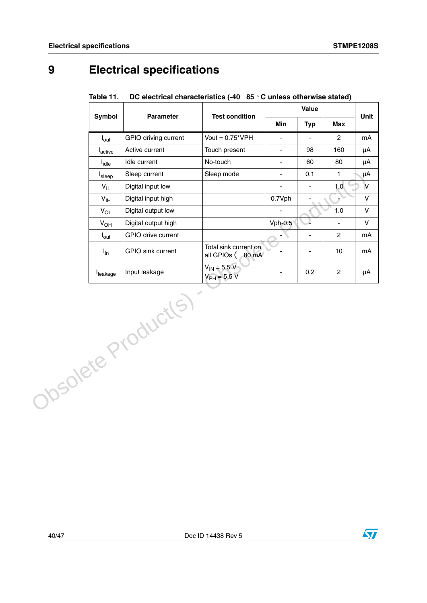# <span id="page-39-0"></span>**9 Electrical specifications**

|                            |                          |                                                       | Value                    |                          | Unit           |              |
|----------------------------|--------------------------|-------------------------------------------------------|--------------------------|--------------------------|----------------|--------------|
| Symbol                     | Parameter                | <b>Test condition</b>                                 | Min                      | <b>Typ</b>               | <b>Max</b>     |              |
| $I_{\text{out}}$           | GPIO driving current     | Vout = $0.75$ *VPH                                    | ÷,                       |                          | $\overline{2}$ | mA           |
| $I_{\text{active}}$        | Active current           | Touch present                                         | ÷.                       | 98                       | 160            | μA           |
| $I_{idle}$                 | Idle current             | No-touch                                              | ÷.                       | 60                       | 80             | μA           |
| I <sub>sleep</sub>         | Sleep current            | Sleep mode                                            | $\blacksquare$           | 0.1                      | $\mathbf{1}$   | μA           |
| $V_{IL}$                   | Digital input low        |                                                       | $\blacksquare$           | $\overline{\phantom{a}}$ | 1.0            | $\vee$       |
| $\mathsf{V}_{\mathsf{IH}}$ | Digital input high       |                                                       | 0.7Vph                   |                          |                | $\sf V$      |
| $V_{OL}$                   | Digital output low       |                                                       | $\blacksquare$           |                          | $1.0$          | $\sf V$      |
| $V_{OH}$                   | Digital output high      |                                                       | $Vph-0.5$                |                          | $\frac{1}{2}$  | $\mathsf{V}$ |
| $I_{\text{out}}$           | GPIO drive current       |                                                       | $\cdot$                  | $\blacksquare$           | $\overline{2}$ | mA           |
| $I_{in}$                   | <b>GPIO</b> sink current | Total sink current on<br>all GPIOs $\langle$<br>80 mA |                          | $\frac{1}{2}$            | 10             | mA           |
| leakage                    | Input leakage            | $V_{IN} = 5.5 V$<br>$V_{PH}$ = 5.5 V                  | $\overline{\phantom{a}}$ | 0.2                      | $\overline{c}$ | μA           |
|                            | Obsolete Product(s)      |                                                       |                          |                          |                |              |

#### <span id="page-39-1"></span>**Table 11. DC electrical characteristics (-40** − **85** °**C unless otherwise stated)**

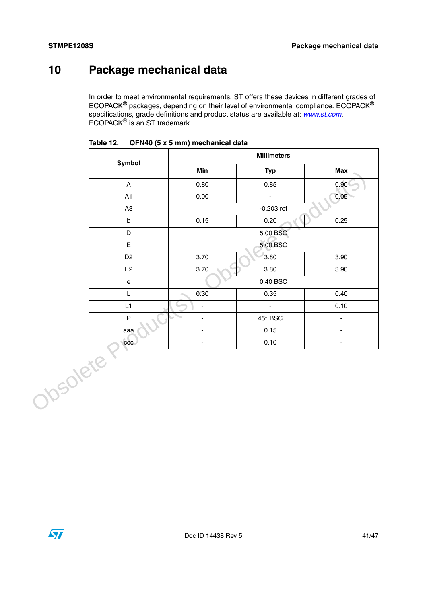# <span id="page-40-0"></span>**10 Package mechanical data**

In order to meet environmental requirements, ST offers these devices in different grades of ECOPACK® packages, depending on their level of environmental compliance. ECOPACK® specifications, grade definitions and product status are available at: *[www.st.com](http://www.st.com)*. ECOPACK® is an ST trademark.

|          |                                   | <b>Millimeters</b>       |                      |                          |  |  |  |
|----------|-----------------------------------|--------------------------|----------------------|--------------------------|--|--|--|
|          | Symbol                            | Min                      | <b>Typ</b>           | <b>Max</b>               |  |  |  |
|          | A                                 | 0.80                     | 0.85                 | 0.90(                    |  |  |  |
|          | A1                                | 0.00                     | $\blacksquare$       | 0.05                     |  |  |  |
|          | A <sub>3</sub>                    |                          | $-0.203$ ref         |                          |  |  |  |
|          | $\mathsf b$                       | 0.15                     | 0.20                 | 0.25                     |  |  |  |
|          | $\mathsf D$                       |                          | 5.00 BSC             |                          |  |  |  |
|          | E                                 |                          | 5.00 BSC             |                          |  |  |  |
|          | D <sub>2</sub>                    | 3.70                     | 3.80                 | 3.90                     |  |  |  |
|          | E <sub>2</sub>                    | 3.70                     | 3.80                 | 3.90                     |  |  |  |
|          | $\mathsf{e}% _{t}\left( t\right)$ |                          | $0.40\;\mathrm{BSC}$ |                          |  |  |  |
|          | L                                 | 0.30                     | 0.35                 | 0.40                     |  |  |  |
|          | L1                                | $\overline{\phantom{a}}$ | $\blacksquare$       | 0.10                     |  |  |  |
|          | $\sf P$                           | $\overline{\phantom{a}}$ | 45° BSC              | $\blacksquare$           |  |  |  |
|          | aaa                               | $\blacksquare$           | 0.15                 | $\overline{\phantom{a}}$ |  |  |  |
|          | ccc                               | $\overline{\phantom{a}}$ | 0.10                 | $\overline{\phantom{a}}$ |  |  |  |
| Obsolete |                                   |                          |                      |                          |  |  |  |

<span id="page-40-1"></span>

| Table 12. |  | QFN40 (5 x 5 mm) mechanical data |  |
|-----------|--|----------------------------------|--|
|           |  |                                  |  |

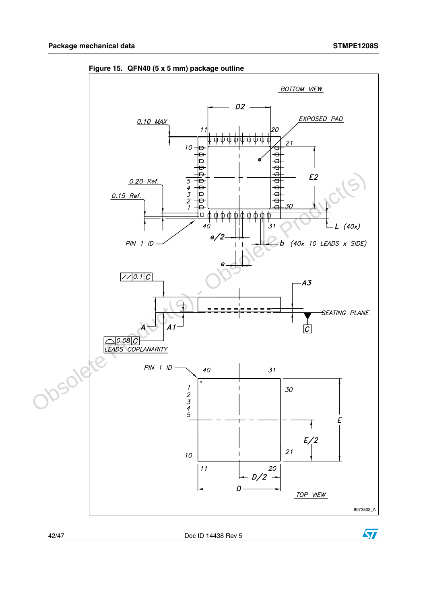

<span id="page-41-0"></span>**Figure 15. QFN40 (5 x 5 mm) package outline**

42/47 Doc ID 14438 Rev 5

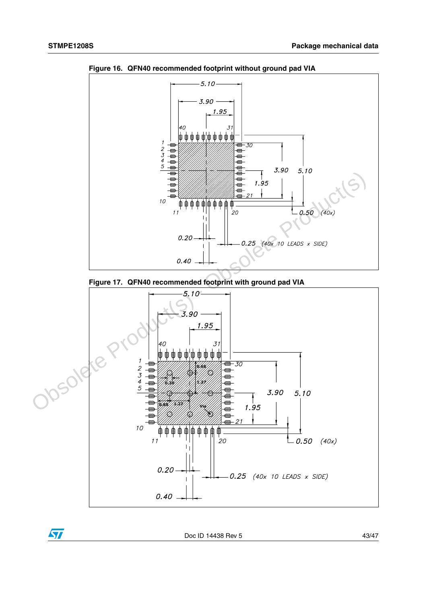

<span id="page-42-0"></span>**Figure 16. QFN40 recommended footprint without ground pad VIA**

<span id="page-42-1"></span>



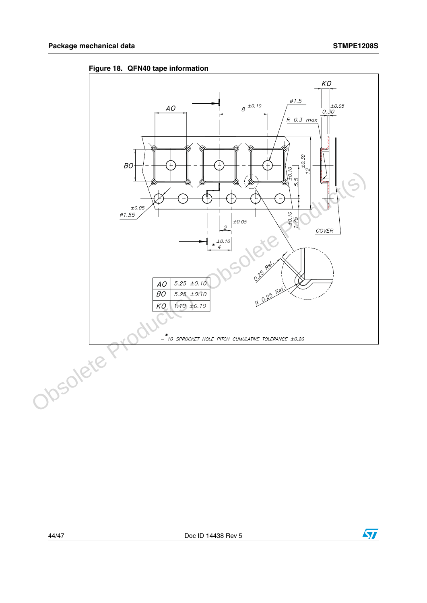

<span id="page-43-0"></span>**Figure 18. QFN40 tape information**

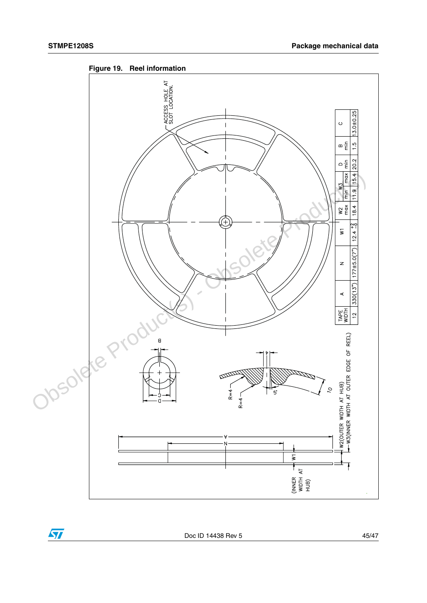$\sqrt{2}$ 



<span id="page-44-0"></span>

Doc ID 14438 Rev 5 45/47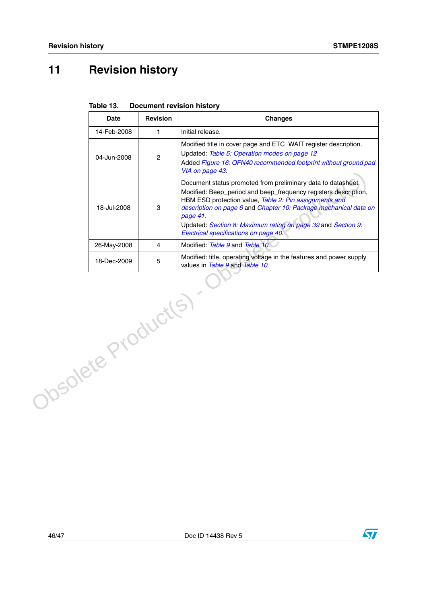# <span id="page-45-0"></span>**11 Revision history**

|                     | <b>Date</b> | <b>Revision</b> | <b>Changes</b>                                                                                                                                                                                                                                                                                                                                                                     |
|---------------------|-------------|-----------------|------------------------------------------------------------------------------------------------------------------------------------------------------------------------------------------------------------------------------------------------------------------------------------------------------------------------------------------------------------------------------------|
|                     | 14-Feb-2008 | $\mathbf{1}$    | Initial release.                                                                                                                                                                                                                                                                                                                                                                   |
|                     | 04-Jun-2008 | $\overline{2}$  | Modified title in cover page and ETC_WAIT register description.<br>Updated: Table 5: Operation modes on page 12<br>Added Figure 16: QFN40 recommended footprint without ground pad<br>VIA on page 43.                                                                                                                                                                              |
|                     | 18-Jul-2008 | 3               | Document status promoted from preliminary data to datasheet.<br>Modified: Beep_period and beep_frequency registers description,<br>HBM ESD protection value, Table 2: Pin assignments and<br>description on page 6 and Chapter 10: Package mechanical data on<br>page 41.<br>Updated: Section 8: Maximum rating on page 39 and Section 9:<br>Electrical specifications on page 40. |
|                     | 26-May-2008 | $\overline{4}$  | Modified: Table 9 and Table 10                                                                                                                                                                                                                                                                                                                                                     |
|                     | 18-Dec-2009 | 5               | Modified: title, operating voltage in the features and power supply<br>values in Table 9 and Table 10.                                                                                                                                                                                                                                                                             |
| Obsolete Product(s) |             |                 |                                                                                                                                                                                                                                                                                                                                                                                    |

#### <span id="page-45-1"></span>**Table 13. Document revision history**